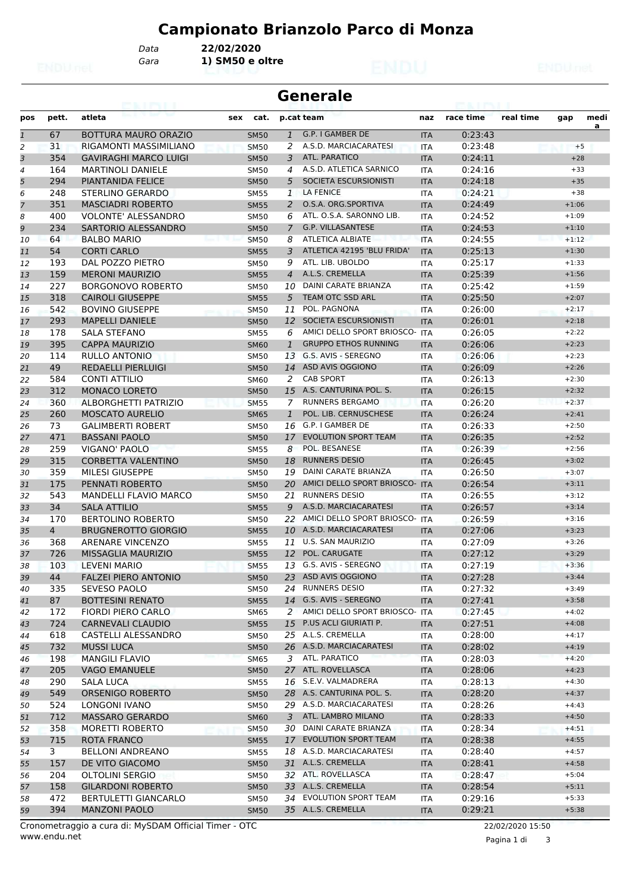*Data* **22/02/2020**

*Gara* **1) SM50 e oltre**

|                | <b>Generale</b> |                                              |                            |                |                                            |                          |                    |           |                    |           |  |  |  |
|----------------|-----------------|----------------------------------------------|----------------------------|----------------|--------------------------------------------|--------------------------|--------------------|-----------|--------------------|-----------|--|--|--|
| pos            | pett.           | atleta                                       | cat.<br>sex                |                | p.cat team                                 | naz                      | race time          | real time | gap                | medi<br>a |  |  |  |
| $\mathbf{1}$   | 67              | <b>BOTTURA MAURO ORAZIO</b>                  | <b>SM50</b>                | $\mathbf{1}$   | G.P. I GAMBER DE                           | <b>ITA</b>               | 0:23:43            |           |                    |           |  |  |  |
| 2              | 31              | RIGAMONTI MASSIMILIANO                       | <b>SM50</b>                | 2              | A.S.D. MARCIACARATESI                      | <b>ITA</b>               | 0:23:48            |           |                    | $+5$      |  |  |  |
| 3              | 354             | <b>GAVIRAGHI MARCO LUIGI</b>                 | <b>SM50</b>                | 3              | <b>ATL. PARATICO</b>                       | <b>ITA</b>               | 0:24:11            |           | $+28$              |           |  |  |  |
| 4              | 164             | <b>MARTINOLI DANIELE</b>                     | <b>SM50</b>                | 4              | A.S.D. ATLETICA SARNICO                    | ITA                      | 0:24:16            |           | $+33$              |           |  |  |  |
| 5              | 294             | <b>PIANTANIDA FELICE</b>                     | <b>SM50</b>                | 5              | SOCIETA ESCURSIONISTI                      | <b>ITA</b>               | 0:24:18            |           | $+35$              |           |  |  |  |
| 6              | 248             | <b>STERLINO GERARDO</b>                      | <b>SM55</b>                | $\mathbf{1}$   | <b>LA FENICE</b>                           | <b>ITA</b>               | 0:24:21            |           | $+38$              |           |  |  |  |
| $\overline{7}$ | 351             | <b>MASCIADRI ROBERTO</b>                     | <b>SM55</b>                | 2              | O.S.A. ORG.SPORTIVA                        | <b>ITA</b>               | 0:24:49            |           | $+1:06$            |           |  |  |  |
| 8              | 400             | <b>VOLONTE' ALESSANDRO</b>                   | <b>SM50</b>                | 6              | ATL. O.S.A. SARONNO LIB.                   | <b>ITA</b>               | 0:24:52            |           | $+1:09$            |           |  |  |  |
| 9              | 234             | SARTORIO ALESSANDRO                          | <b>SM50</b>                | $\overline{7}$ | <b>G.P. VILLASANTESE</b>                   | <b>ITA</b>               | 0:24:53            |           | $+1:10$            |           |  |  |  |
| 10             | 64              | <b>BALBO MARIO</b>                           | <b>SM50</b>                | 8              | <b>ATLETICA ALBIATE</b>                    | <b>ITA</b>               | 0:24:55            |           | $+1:12$            |           |  |  |  |
| 11             | 54              | <b>CORTI CARLO</b>                           | <b>SM55</b>                | 3              | ATLETICA 42195 'BLU FRIDA'                 | <b>ITA</b>               | 0:25:13            |           | $+1:30$            |           |  |  |  |
| 12             | 193             | DAL POZZO PIETRO                             | <b>SM50</b>                | 9              | ATL. LIB. UBOLDO                           | <b>ITA</b>               | 0:25:17            |           | $+1:33$            |           |  |  |  |
| 13             | 159             | <b>MERONI MAURIZIO</b>                       | <b>SM55</b>                | $\overline{4}$ | A.L.S. CREMELLA                            | <b>ITA</b>               | 0:25:39            |           | $+1:56$            |           |  |  |  |
| 14             | 227             | <b>BORGONOVO ROBERTO</b>                     | <b>SM50</b>                | 10             | <b>DAINI CARATE BRIANZA</b>                | <b>ITA</b>               | 0:25:42            |           | $+1:59$            |           |  |  |  |
| 15             | 318             | <b>CAIROLI GIUSEPPE</b>                      | <b>SM55</b>                | 5              | TEAM OTC SSD ARL<br>POL. PAGNONA           | <b>ITA</b>               | 0:25:50            |           | $+2:07$            |           |  |  |  |
| 16             | 542             | <b>BOVINO GIUSEPPE</b>                       | <b>SM50</b>                | 11             |                                            | ITA                      | 0:26:00            |           | $+2:17$            |           |  |  |  |
| 17             | 293             | <b>MAPELLI DANIELE</b>                       | <b>SM50</b>                | 12             | SOCIETA ESCURSIONISTI                      | <b>ITA</b>               | 0:26:01            |           | $+2:18$            |           |  |  |  |
| 18             | 178             | <b>SALA STEFANO</b>                          | <b>SM55</b>                | 6              | AMICI DELLO SPORT BRIOSCO- ITA             |                          | 0:26:05            |           | $+2:22$            |           |  |  |  |
| 19             | 395             | <b>CAPPA MAURIZIO</b>                        | <b>SM60</b>                | $\mathbf{1}$   | <b>GRUPPO ETHOS RUNNING</b>                | <b>ITA</b>               | 0:26:06            |           | $+2:23$            |           |  |  |  |
| 20             | 114             | RULLO ANTONIO                                | <b>SM50</b>                | 13             | G.S. AVIS - SEREGNO<br>14 ASD AVIS OGGIONO | <b>ITA</b>               | 0:26:06            |           | $+2:23$            |           |  |  |  |
| 21             | 49              | <b>REDAELLI PIERLUIGI</b>                    | <b>SM50</b>                |                | <b>CAB SPORT</b>                           | <b>ITA</b>               | 0:26:09            |           | $+2:26$            |           |  |  |  |
| 22             | 584<br>312      | CONTI ATTILIO                                | <b>SM60</b>                | 2<br>15        | A.S. CANTURINA POL. S.                     | ITA                      | 0:26:13<br>0:26:15 |           | $+2:30$            |           |  |  |  |
| 23             | 360             | <b>MONACO LORETO</b><br>ALBORGHETTI PATRIZIO | <b>SM50</b>                | 7              | <b>RUNNERS BERGAMO</b>                     | <b>ITA</b>               | 0:26:20            |           | $+2:32$<br>$+2:37$ |           |  |  |  |
| 24             | 260             | <b>MOSCATO AURELIO</b>                       | <b>SM55</b>                | $\mathbf{1}$   | POL. LIB. CERNUSCHESE                      | <b>ITA</b>               | 0:26:24            |           | $+2:41$            |           |  |  |  |
| 25             | 73              | <b>GALIMBERTI ROBERT</b>                     | <b>SM65</b>                | 16             | G.P. I GAMBER DE                           | <b>ITA</b>               | 0:26:33            |           | $+2:50$            |           |  |  |  |
| 26<br>27       | 471             | <b>BASSANI PAOLO</b>                         | <b>SM50</b><br><b>SM50</b> | 17             | <b>EVOLUTION SPORT TEAM</b>                | <b>ITA</b><br><b>ITA</b> | 0:26:35            |           | $+2:52$            |           |  |  |  |
| 28             | 259             | VIGANO' PAOLO                                | <b>SM55</b>                | 8              | POL. BESANESE                              | ITA                      | 0:26:39            |           | $+2:56$            |           |  |  |  |
| 29             | 315             | <b>CORBETTA VALENTINO</b>                    | <b>SM50</b>                | 18             | <b>RUNNERS DESIO</b>                       | <b>ITA</b>               | 0:26:45            |           | $+3:02$            |           |  |  |  |
| 30             | 359             | <b>MILESI GIUSEPPE</b>                       | <b>SM50</b>                | 19             | DAINI CARATE BRIANZA                       | <b>ITA</b>               | 0:26:50            |           | $+3:07$            |           |  |  |  |
| 31             | 175             | PENNATI ROBERTO                              | <b>SM50</b>                | 20             | AMICI DELLO SPORT BRIOSCO- ITA             |                          | 0:26:54            |           | $+3:11$            |           |  |  |  |
| 32             | 543             | <b>MANDELLI FLAVIO MARCO</b>                 | <b>SM50</b>                | 21             | <b>RUNNERS DESIO</b>                       | <b>ITA</b>               | 0:26:55            |           | $+3:12$            |           |  |  |  |
| 33             | 34              | <b>SALA ATTILIO</b>                          | <b>SM55</b>                | 9              | A.S.D. MARCIACARATESI                      | <b>ITA</b>               | 0:26:57            |           | $+3:14$            |           |  |  |  |
| 34             | 170             | <b>BERTOLINO ROBERTO</b>                     | <b>SM50</b>                | 22             | AMICI DELLO SPORT BRIOSCO- ITA             |                          | 0:26:59            |           | $+3:16$            |           |  |  |  |
| 35             | $\overline{4}$  | <b>BRUGNEROTTO GIORGIO</b>                   | <b>SM55</b>                | 10             | A.S.D. MARCIACARATESI                      | <b>ITA</b>               | 0:27:06            |           | $+3:23$            |           |  |  |  |
| 36             | 368             | ARENARE VINCENZO                             | <b>SM55</b>                | 11             | <b>U.S. SAN MAURIZIO</b>                   | ITA                      | 0:27:09            |           | $+3:26$            |           |  |  |  |
| 37             | 726             | MISSAGLIA MAURIZIO                           | <b>SM55</b>                | 12             | POL. CARUGATE                              | <b>ITA</b>               | 0:27:12            |           | $+3:29$            |           |  |  |  |
| 38             | 103             | <b>LEVENI MARIO</b>                          | <b>SM55</b>                |                | 13 G.S. AVIS - SEREGNO                     | <b>ITA</b>               | 0:27:19            |           | $+3:36$            |           |  |  |  |
| 39             | 44              | <b>FALZEI PIERO ANTONIO</b>                  | <b>SM50</b>                |                | 23 ASD AVIS OGGIONO                        | <b>ITA</b>               | 0:27:28            |           | $+3:44$            |           |  |  |  |
| 40             | 335             | SEVESO PAOLO                                 | <b>SM50</b>                |                | 24 RUNNERS DESIO                           | ITA                      | 0:27:32            |           | $+3:49$            |           |  |  |  |
| 41             | 87              | <b>BOTTESINI RENATO</b>                      | <b>SM55</b>                |                | 14 G.S. AVIS - SEREGNO                     | <b>ITA</b>               | 0:27:41            |           | $+3:58$            |           |  |  |  |
| 42             | 172             | FIORDI PIERO CARLO                           | <b>SM65</b>                |                | 2 AMICI DELLO SPORT BRIOSCO- ITA           |                          | 0:27:45            |           | $+4:02$            |           |  |  |  |
| 43             | 724             | <b>CARNEVALI CLAUDIO</b>                     | <b>SM55</b>                | 15             | P.US ACLI GIURIATI P.                      | <b>ITA</b>               | 0:27:51            |           | $+4:08$            |           |  |  |  |
| 44             | 618             | CASTELLI ALESSANDRO                          | <b>SM50</b>                |                | 25 A.L.S. CREMELLA                         | <b>ITA</b>               | 0:28:00            |           | $+4:17$            |           |  |  |  |
| 45             | 732             | <b>MUSSI LUCA</b>                            | <b>SM50</b>                |                | 26 A.S.D. MARCIACARATESI                   | <b>ITA</b>               | 0:28:02            |           | $+4:19$            |           |  |  |  |
| 46             | 198             | <b>MANGILI FLAVIO</b>                        | <b>SM65</b>                | 3              | ATL. PARATICO                              | <b>ITA</b>               | 0:28:03            |           | $+4:20$            |           |  |  |  |
| 47             | 205             | <b>VAGO EMANUELE</b>                         | <b>SM50</b>                |                | 27 ATL. ROVELLASCA                         | <b>ITA</b>               | 0:28:06            |           | $+4:23$            |           |  |  |  |
| 48             | 290             | SALA LUCA                                    | <b>SM55</b>                |                | 16 S.E.V. VALMADRERA                       | ITA                      | 0:28:13            |           | $+4:30$            |           |  |  |  |
| 49             | 549             | <b>ORSENIGO ROBERTO</b>                      | <b>SM50</b>                |                | 28 A.S. CANTURINA POL. S.                  | <b>ITA</b>               | 0:28:20            |           | $+4:37$            |           |  |  |  |
| 50             | 524             | LONGONI IVANO                                | <b>SM50</b>                |                | 29 A.S.D. MARCIACARATESI                   | <b>ITA</b>               | 0:28:26            |           | $+4:43$            |           |  |  |  |
| 51             | 712             | <b>MASSARO GERARDO</b>                       | <b>SM60</b>                | 3              | ATL. LAMBRO MILANO                         | <b>ITA</b>               | 0:28:33            |           | $+4:50$            |           |  |  |  |
| 52             | 358             | MORETTI ROBERTO                              | <b>SM50</b>                |                | 30 DAINI CARATE BRIANZA                    | ITA                      | 0:28:34            |           | $+4:51$            |           |  |  |  |
| 53             | 715             | ROTA FRANCO                                  | <b>SM55</b>                |                | 17 EVOLUTION SPORT TEAM                    | <b>ITA</b>               | 0:28:38            |           | $+4:55$            |           |  |  |  |
| 54             | 3               | <b>BELLONI ANDREANO</b>                      | <b>SM55</b>                | 18             | A.S.D. MARCIACARATESI                      | ITA                      | 0:28:40            |           | $+4:57$            |           |  |  |  |
| 55             | 157             | DE VITO GIACOMO                              | <b>SM50</b>                |                | 31 A.L.S. CREMELLA                         | <b>ITA</b>               | 0:28:41            |           | $+4:58$            |           |  |  |  |
| 56             | 204             | OLTOLINI SERGIO                              | <b>SM50</b>                |                | 32 ATL. ROVELLASCA                         | <b>ITA</b>               | 0:28:47            |           | $+5:04$            |           |  |  |  |
| 57             | 158             | <b>GILARDONI ROBERTO</b>                     | <b>SM50</b>                |                | 33 A.L.S. CREMELLA                         | <b>ITA</b>               | 0:28:54            |           | $+5:11$            |           |  |  |  |
| 58             | 472             | BERTULETTI GIANCARLO                         | <b>SM50</b>                |                | 34 EVOLUTION SPORT TEAM                    | ITA                      | 0:29:16            |           | $+5:33$            |           |  |  |  |
| 59             | 394             | <b>MANZONI PAOLO</b>                         | <b>SM50</b>                |                | 35 A.L.S. CREMELLA                         | <b>ITA</b>               | 0:29:21            |           | $+5:38$            |           |  |  |  |

Pagina 1 di 3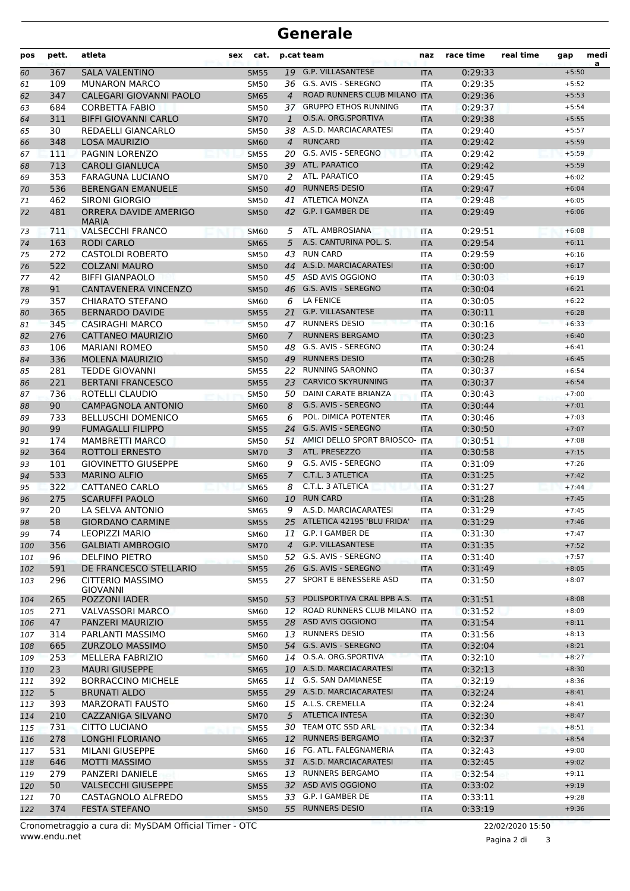| pos        | pett.          | atleta                                     | cat.<br>sex                |                | p.cat team                                         | naz               | race time          | real time | gap                | medi<br>a |
|------------|----------------|--------------------------------------------|----------------------------|----------------|----------------------------------------------------|-------------------|--------------------|-----------|--------------------|-----------|
| 60         | 367            | <b>SALA VALENTINO</b>                      | <b>SM55</b>                |                | 19 G.P. VILLASANTESE                               | <b>ITA</b>        | 0:29:33            |           | $+5:50$            |           |
| 61         | 109            | <b>MUNARON MARCO</b>                       | <b>SM50</b>                | 36             | G.S. AVIS - SEREGNO                                | <b>ITA</b>        | 0:29:35            |           | $+5:52$            |           |
| 62         | 347            | CALEGARI GIOVANNI PAOLO                    | <b>SM65</b>                | $\overline{4}$ | ROAD RUNNERS CLUB MILANO ITA                       |                   | 0:29:36            |           | $+5:53$            |           |
| 63         | 684            | <b>CORBETTA FABIO</b>                      | <b>SM50</b>                |                | 37 GRUPPO ETHOS RUNNING                            | <b>ITA</b>        | 0:29:37            |           | $+5:54$            |           |
| 64         | 311            | <b>BIFFI GIOVANNI CARLO</b>                | <b>SM70</b>                | 1              | O.S.A. ORG.SPORTIVA                                | <b>ITA</b>        | 0:29:38            |           | $+5:55$            |           |
| 65         | 30             | REDAELLI GIANCARLO                         | <b>SM50</b>                |                | 38 A.S.D. MARCIACARATESI                           | <b>ITA</b>        | 0:29:40            |           | $+5:57$            |           |
| 66         | 348            | <b>LOSA MAURIZIO</b>                       | <b>SM60</b>                | $\overline{4}$ | <b>RUNCARD</b>                                     | <b>ITA</b>        | 0:29:42            |           | $+5:59$            |           |
| 67         | 111            | PAGNIN LORENZO                             | <b>SM55</b>                | 20             | G.S. AVIS - SEREGNO                                | <b>ITA</b>        | 0:29:42            |           | $+5:59$            |           |
| 68         | 713            | <b>CAROLI GIANLUCA</b>                     | <b>SM50</b>                |                | 39 ATL. PARATICO                                   | <b>ITA</b>        | 0:29:42            |           | $+5:59$            |           |
| 69         | 353            | <b>FARAGUNA LUCIANO</b>                    | <b>SM70</b>                | 2              | ATL. PARATICO                                      | <b>ITA</b>        | 0:29:45            |           | $+6:02$            |           |
| 70         | 536            | <b>BERENGAN EMANUELE</b>                   | <b>SM50</b>                | 40             | <b>RUNNERS DESIO</b>                               | <b>ITA</b>        | 0:29:47            |           | $+6:04$            |           |
| 71         | 462            | SIRONI GIORGIO                             | <b>SM50</b>                | 41             | <b>ATLETICA MONZA</b>                              | <b>ITA</b>        | 0:29:48            |           | $+6:05$            |           |
| 72         | 481            | ORRERA DAVIDE AMERIGO<br><b>MARIA</b>      | <b>SM50</b>                |                | 42 G.P. I GAMBER DE                                | <b>ITA</b>        | 0:29:49            |           | $+6:06$            |           |
| 73         | 711            | <b>VALSECCHI FRANCO</b>                    | <b>SM60</b>                | 5              | ATL. AMBROSIANA                                    | <b>ITA</b>        | 0:29:51            |           | $+6:08$            |           |
| 74         | 163            | <b>RODI CARLO</b>                          | <b>SM65</b>                | 5              | A.S. CANTURINA POL. S.                             | <b>ITA</b>        | 0:29:54            |           | $+6:11$            |           |
| 75         | 272            | <b>CASTOLDI ROBERTO</b>                    | <b>SM50</b>                |                | 43 RUN CARD                                        | <b>ITA</b>        | 0:29:59            |           | $+6:16$            |           |
| 76         | 522            | <b>COLZANI MAURO</b>                       | <b>SM50</b>                |                | 44 A.S.D. MARCIACARATESI                           | <b>ITA</b>        | 0:30:00            |           | $+6:17$            |           |
| 77         | 42             | <b>BIFFI GIANPAOLO</b>                     | <b>SM50</b>                |                | 45 ASD AVIS OGGIONO                                | <b>ITA</b>        | 0:30:03            |           | $+6:19$            |           |
| 78         | 91             | CANTAVENERA VINCENZO                       | <b>SM50</b>                |                | 46 G.S. AVIS - SEREGNO                             | <b>ITA</b>        | 0:30:04            |           | $+6:21$            |           |
| 79         | 357            | <b>CHIARATO STEFANO</b>                    | <b>SM60</b>                | 6              | <b>LA FENICE</b>                                   | <b>ITA</b>        | 0:30:05            |           | $+6:22$            |           |
| 80         | 365            | <b>BERNARDO DAVIDE</b>                     | <b>SM55</b>                | 21             | <b>G.P. VILLASANTESE</b>                           | <b>ITA</b>        | 0:30:11            |           | $+6:28$            |           |
| 81         | 345            | <b>CASIRAGHI MARCO</b>                     | <b>SM50</b>                |                | 47 RUNNERS DESIO                                   | <b>ITA</b>        | 0:30:16            |           | $+6:33$            |           |
| 82         | 276            | <b>CATTANEO MAURIZIO</b>                   | <b>SM60</b>                | $\overline{7}$ | <b>RUNNERS BERGAMO</b>                             | <b>ITA</b>        | 0:30:23            |           | $+6:40$            |           |
| 83         | 106            | <b>MARIANI ROMEO</b>                       | <b>SM50</b>                | 48             | G.S. AVIS - SEREGNO                                | <b>ITA</b>        | 0:30:24            |           | $+6:41$            |           |
| 84         | 336            | <b>MOLENA MAURIZIO</b>                     | <b>SM50</b>                | 49             | <b>RUNNERS DESIO</b>                               | <b>ITA</b>        | 0:30:28            |           | $+6:45$            |           |
| 85         | 281            | <b>TEDDE GIOVANNI</b>                      | <b>SM55</b>                | 22             | <b>RUNNING SARONNO</b>                             | <b>ITA</b>        | 0:30:37            |           | $+6:54$            |           |
| 86         | 221            | <b>BERTANI FRANCESCO</b>                   | <b>SM55</b>                | 23             | <b>CARVICO SKYRUNNING</b>                          | <b>ITA</b>        | 0:30:37            |           | $+6:54$            |           |
| 87         | 736            | ROTELLI CLAUDIO                            | <b>SM50</b>                | 50             | DAINI CARATE BRIANZA                               | <b>ITA</b>        | 0:30:43            |           | $+7:00$            |           |
| 88         | 90             | <b>CAMPAGNOLA ANTONIO</b>                  | <b>SM60</b>                | 8              | G.S. AVIS - SEREGNO                                | <b>ITA</b>        | 0:30:44            |           | $+7:01$            |           |
| 89         | 733            | <b>BELLUSCHI DOMENICO</b>                  | <b>SM65</b>                | 6              | POL. DIMICA POTENTER                               | <b>ITA</b>        | 0:30:46            |           | $+7:03$            |           |
| 90         | 99             | <b>FUMAGALLI FILIPPO</b>                   | <b>SM55</b>                | 24             | G.S. AVIS - SEREGNO                                | <b>ITA</b>        | 0:30:50            |           | $+7:07$            |           |
| 91         | 174            | <b>MAMBRETTI MARCO</b>                     | SM50                       | 51             | AMICI DELLO SPORT BRIOSCO-                         | <b>ITA</b>        | 0:30:51            |           | $+7:08$            |           |
| 92         | 364            | <b>ROTTOLI ERNESTO</b>                     | <b>SM70</b>                | 3              | ATL. PRESEZZO                                      | <b>ITA</b>        | 0:30:58            |           | $+7:15$            |           |
| 93         | 101            | <b>GIOVINETTO GIUSEPPE</b>                 | <b>SM60</b>                | 9              | G.S. AVIS - SEREGNO                                | <b>ITA</b>        | 0:31:09            |           | $+7:26$            |           |
| 94         | 533            | <b>MARINO ALFIO</b>                        | <b>SM65</b>                | $\overline{7}$ | C.T.L. 3 ATLETICA                                  | <b>ITA</b>        | 0:31:25            |           | $+7:42$            |           |
| 95         | 322            | CATTANEO CARLO                             | SM65                       | 8              | C.T.L. 3 ATLETICA                                  | <b>ITA</b>        | 0:31:27            |           | $+7:44$            |           |
| 96         | 275            | <b>SCARUFFI PAOLO</b>                      | <b>SM60</b>                | 10             | <b>RUN CARD</b>                                    | <b>ITA</b>        | 0:31:28            |           | $+7:45$            |           |
| 97         | 20             | LA SELVA ANTONIO                           | <b>SM65</b>                | 9              | A.S.D. MARCIACARATESI                              | <b>ITA</b>        | 0:31:29            |           | $+7:45$            |           |
| 98         | 58             | <b>GIORDANO CARMINE</b>                    | SM55                       |                | 25 ATLETICA 42195 'BLU FRIDA'                      | <b>ITA</b>        | 0:31:29            |           | $+7:46$            |           |
| 99         | 74             | <b>LEOPIZZI MARIO</b>                      | <b>SM60</b>                |                | 11 G.P. I GAMBER DE                                | ITA               | 0:31:30            |           | $+7:47$            |           |
| 100        | 356            | <b>GALBIATI AMBROGIO</b>                   | <b>SM70</b>                | $\overline{4}$ | <b>G.P. VILLASANTESE</b>                           | <b>ITA</b>        | 0:31:35            |           | $+7:52$            |           |
| 101        | 96             | DELFINO PIETRO                             | <b>SM50</b>                | 52             | G.S. AVIS - SEREGNO                                | <b>ITA</b>        | 0:31:40            |           | $+7:57$            |           |
| 102<br>103 | 591<br>296     | DE FRANCESCO STELLARIO<br>CITTERIO MASSIMO | <b>SM55</b><br><b>SM55</b> |                | 26 G.S. AVIS - SEREGNO<br>27 SPORT E BENESSERE ASD | <b>ITA</b><br>ITA | 0:31:49<br>0:31:50 |           | $+8:05$<br>$+8:07$ |           |
|            |                | <b>GIOVANNI</b>                            |                            |                |                                                    |                   |                    |           |                    |           |
| 104        | 265            | POZZONI IADER                              | <b>SM50</b>                |                | 53 POLISPORTIVA CRAL BPB A.S.                      | <b>ITA</b>        | 0:31:51            |           | $+8:08$            |           |
| 105        | 271            | <b>VALVASSORI MARCO</b>                    | SM60                       | 12             | ROAD RUNNERS CLUB MILANO ITA                       |                   | 0:31:52            |           | $+8:09$            |           |
| 106        | 47             | PANZERI MAURIZIO                           | <b>SM55</b>                |                | 28 ASD AVIS OGGIONO                                | <b>ITA</b>        | 0:31:54            |           | $+8:11$            |           |
| 107        | 314            | PARLANTI MASSIMO                           | <b>SM60</b>                |                | 13 RUNNERS DESIO                                   | ITA               | 0:31:56            |           | $+8:13$            |           |
| 108        | 665            | ZURZOLO MASSIMO                            | <b>SM50</b>                |                | 54 G.S. AVIS - SEREGNO                             | <b>ITA</b>        | 0:32:04            |           | $+8:21$            |           |
| 109        | 253            | MELLERA FABRIZIO                           | <b>SM60</b>                |                | 14 O.S.A. ORG.SPORTIVA                             | ITA               | 0:32:10            |           | $+8:27$            |           |
| 110        | 23             | <b>MAURI GIUSEPPE</b>                      | <b>SM65</b>                |                | 10 A.S.D. MARCIACARATESI                           | <b>ITA</b>        | 0:32:13            |           | $+8:30$            |           |
| 111        | 392            | <b>BORRACCINO MICHELE</b>                  | SM65                       |                | 11 G.S. SAN DAMIANESE                              | ITA               | 0:32:19            |           | $+8:36$            |           |
| 112        | 5 <sub>1</sub> | <b>BRUNATI ALDO</b>                        | <b>SM55</b>                |                | 29 A.S.D. MARCIACARATESI                           | <b>ITA</b>        | 0:32:24            |           | $+8:41$            |           |
| 113        | 393            | <b>MARZORATI FAUSTO</b>                    | SM60                       |                | 15 A.L.S. CREMELLA                                 | ITA               | 0:32:24            |           | $+8:41$            |           |
| 114        | 210            | CAZZANIGA SILVANO                          | <b>SM70</b>                |                | 5 ATLETICA INTESA                                  | <b>ITA</b>        | 0:32:30            |           | $+8:47$            |           |
| 115        | 731            | CITTO LUCIANO                              | <b>SM55</b>                |                | 30 TEAM OTC SSD ARL                                | ITA               | 0:32:34            |           | $+8:51$            |           |
| 116        | 278            | LONGHI FLORIANO                            | <b>SM65</b>                |                | 12 RUNNERS BERGAMO                                 | <b>ITA</b>        | 0:32:37            |           | $+8:54$            |           |
| 117        | 531            | MILANI GIUSEPPE                            | <b>SM60</b>                |                | 16 FG. ATL. FALEGNAMERIA                           | ITA               | 0:32:43            |           | $+9:00$            |           |
| 118        | 646            | <b>MOTTI MASSIMO</b>                       | <b>SM55</b>                |                | 31 A.S.D. MARCIACARATESI                           | <b>ITA</b>        | 0:32:45            |           | $+9:02$            |           |
| 119        | 279            | PANZERI DANIELE                            | SM65                       |                | 13 RUNNERS BERGAMO                                 | ITA               | 0:32:54            |           | $+9:11$            |           |
| 120        | 50             | <b>VALSECCHI GIUSEPPE</b>                  | <b>SM55</b>                |                | 32 ASD AVIS OGGIONO                                | <b>ITA</b>        | 0:33:02            |           | $+9:19$            |           |
| 121        | 70             | CASTAGNOLO ALFREDO                         | <b>SM55</b>                |                | 33 G.P. I GAMBER DE                                | ITA               | 0:33:11            |           | $+9:28$            |           |
| 122        | 374            | <b>FESTA STEFANO</b>                       | <b>SM50</b>                |                | 55 RUNNERS DESIO                                   | <b>ITA</b>        | 0:33:19            |           | $+9:36$            |           |

Pagina 2 di 3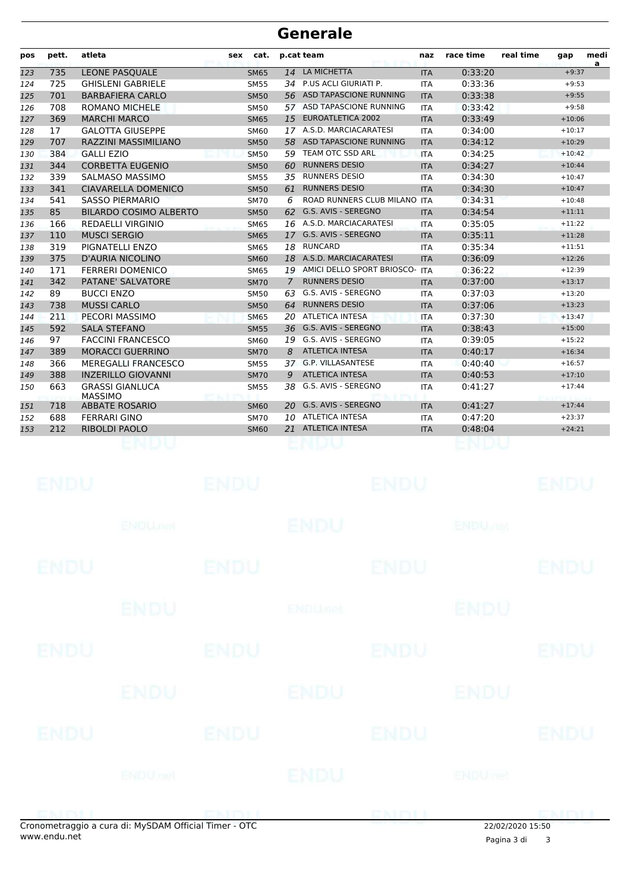| pos | pett. | atleta                                   | sex | cat.        |                | p.cat team                   | naz        | race time | real time | gap      | medi<br>a |
|-----|-------|------------------------------------------|-----|-------------|----------------|------------------------------|------------|-----------|-----------|----------|-----------|
| 123 | 735   | <b>LEONE PASOUALE</b>                    |     | <b>SM65</b> | 14             | LA MICHETTA                  | <b>ITA</b> | 0:33:20   |           | $+9:37$  |           |
| 124 | 725   | <b>GHISLENI GABRIELE</b>                 |     | <b>SM55</b> |                | 34 P.US ACLI GIURIATI P.     | <b>ITA</b> | 0:33:36   |           | $+9:53$  |           |
| 125 | 701   | <b>BARBAFIERA CARLO</b>                  |     | <b>SM50</b> | 56             | ASD TAPASCIONE RUNNING       | <b>ITA</b> | 0:33:38   |           | $+9:55$  |           |
| 126 | 708   | <b>ROMANO MICHELE</b>                    |     | <b>SM50</b> | 57             | ASD TAPASCIONE RUNNING       | <b>ITA</b> | 0:33:42   |           | $+9:58$  |           |
| 127 | 369   | <b>MARCHI MARCO</b>                      |     | <b>SM65</b> | 15             | <b>EUROATLETICA 2002</b>     | <b>ITA</b> | 0:33:49   |           | $+10:06$ |           |
| 128 | 17    | <b>GALOTTA GIUSEPPE</b>                  |     | <b>SM60</b> |                | 17 A.S.D. MARCIACARATESI     | <b>ITA</b> | 0:34:00   |           | $+10:17$ |           |
| 129 | 707   | RAZZINI MASSIMILIANO                     |     | <b>SM50</b> |                | 58 ASD TAPASCIONE RUNNING    | <b>ITA</b> | 0:34:12   |           | $+10:29$ |           |
| 130 | 384   | <b>GALLI EZIO</b>                        |     | <b>SM50</b> | 59             | TEAM OTC SSD ARL             | <b>ITA</b> | 0:34:25   |           | $+10:42$ |           |
| 131 | 344   | <b>CORBETTA EUGENIO</b>                  |     | <b>SM50</b> | 60             | <b>RUNNERS DESIO</b>         | <b>ITA</b> | 0:34:27   |           | $+10:44$ |           |
| 132 | 339   | SALMASO MASSIMO                          |     | <b>SM55</b> | 35             | <b>RUNNERS DESIO</b>         | <b>ITA</b> | 0:34:30   |           | $+10:47$ |           |
| 133 | 341   | <b>CIAVARELLA DOMENICO</b>               |     | <b>SM50</b> | 61             | <b>RUNNERS DESIO</b>         | <b>ITA</b> | 0:34:30   |           | $+10:47$ |           |
| 134 | 541   | <b>SASSO PIERMARIO</b>                   |     | <b>SM70</b> | 6              | ROAD RUNNERS CLUB MILANO ITA |            | 0:34:31   |           | $+10:48$ |           |
| 135 | 85    | <b>BILARDO COSIMO ALBERTO</b>            |     | <b>SM50</b> | 62.            | G.S. AVIS - SEREGNO          | <b>ITA</b> | 0:34:54   |           | $+11:11$ |           |
| 136 | 166   | <b>REDAELLI VIRGINIO</b>                 |     | <b>SM65</b> |                | 16 A.S.D. MARCIACARATESI     | <b>ITA</b> | 0:35:05   |           | $+11:22$ |           |
| 137 | 110   | <b>MUSCI SERGIO</b>                      |     | <b>SM65</b> | 17             | G.S. AVIS - SEREGNO          | <b>ITA</b> | 0:35:11   |           | $+11:28$ |           |
| 138 | 319   | PIGNATELLI ENZO                          |     | <b>SM65</b> | 18             | <b>RUNCARD</b>               | <b>ITA</b> | 0:35:34   |           | $+11:51$ |           |
| 139 | 375   | <b>D'AURIA NICOLINO</b>                  |     | <b>SM60</b> | 18             | A.S.D. MARCIACARATESI        | <b>ITA</b> | 0:36:09   |           | $+12:26$ |           |
| 140 | 171   | <b>FERRERI DOMENICO</b>                  |     | SM65        | 19             | AMICI DELLO SPORT BRIOSCO-   | <b>ITA</b> | 0:36:22   |           | $+12:39$ |           |
| 141 | 342   | PATANE' SALVATORE                        |     | <b>SM70</b> | $\overline{7}$ | <b>RUNNERS DESIO</b>         | <b>ITA</b> | 0:37:00   |           | $+13:17$ |           |
| 142 | 89    | <b>BUCCI ENZO</b>                        |     | <b>SM50</b> | 63             | G.S. AVIS - SEREGNO          | <b>ITA</b> | 0:37:03   |           | $+13:20$ |           |
| 143 | 738   | <b>MUSSI CARLO</b>                       |     | <b>SM50</b> | 64             | <b>RUNNERS DESIO</b>         | <b>ITA</b> | 0:37:06   |           | $+13:23$ |           |
| 144 | 211   | PECORI MASSIMO                           |     | <b>SM65</b> | 20             | ATLETICA INTESA              | <b>ITA</b> | 0:37:30   |           | $+13:47$ |           |
| 145 | 592   | <b>SALA STEFANO</b>                      |     | <b>SM55</b> | 36             | G.S. AVIS - SEREGNO          | <b>ITA</b> | 0:38:43   |           | $+15:00$ |           |
| 146 | 97    | <b>FACCINI FRANCESCO</b>                 |     | SM60        | 19             | G.S. AVIS - SEREGNO          | <b>ITA</b> | 0:39:05   |           | $+15:22$ |           |
| 147 | 389   | <b>MORACCI GUERRINO</b>                  |     | <b>SM70</b> | 8              | <b>ATLETICA INTESA</b>       | <b>ITA</b> | 0:40:17   |           | $+16:34$ |           |
| 148 | 366   | <b>MEREGALLI FRANCESCO</b>               |     | <b>SM55</b> |                | 37 G.P. VILLASANTESE         | <b>ITA</b> | 0:40:40   |           | $+16:57$ |           |
| 149 | 388   | <b>INZERILLO GIOVANNI</b>                |     | <b>SM70</b> | 9              | <b>ATLETICA INTESA</b>       | <b>ITA</b> | 0:40:53   |           | $+17:10$ |           |
| 150 | 663   | <b>GRASSI GIANLUCA</b><br><b>MASSIMO</b> |     | <b>SM55</b> | 38             | G.S. AVIS - SEREGNO          | <b>ITA</b> | 0:41:27   |           | $+17:44$ |           |
| 151 | 718   | <b>ABBATE ROSARIO</b>                    |     | <b>SM60</b> |                | 20 G.S. AVIS - SEREGNO       | <b>ITA</b> | 0:41:27   |           | $+17:44$ |           |
| 152 | 688   | <b>FERRARI GINO</b>                      |     | <b>SM70</b> |                | 10 ATLETICA INTESA           | <b>ITA</b> | 0:47:20   |           | $+23:37$ |           |
| 153 | 212   | <b>RIBOLDI PAOLO</b>                     |     | <b>SM60</b> |                | 21 ATLETICA INTESA           | <b>ITA</b> | 0:48:04   |           | $+24:21$ |           |
|     |       |                                          |     |             |                |                              |            |           |           |          |           |

|             | apamatraggio a cura di: MyCDAM Official Timor. OTC |             |                | ENDIJ       | 2202222222522             | <b>CMALL</b> |
|-------------|----------------------------------------------------|-------------|----------------|-------------|---------------------------|--------------|
|             | <b>ENDUnet</b>                                     |             | ENDU           |             | ENDUmet                   |              |
| ENDU        |                                                    | <b>ENDU</b> |                | <b>ENDU</b> |                           | <b>ENDU</b>  |
|             | <b>ENDU</b>                                        |             | ENDU           |             | ENDU                      |              |
| ENDU        |                                                    | <b>ENDU</b> |                | <b>ENDU</b> |                           | <b>ENDU</b>  |
|             | <b>ENDU</b>                                        |             | <b>ENDUnet</b> |             | <b>ENDU</b>               |              |
| <b>ENDU</b> |                                                    | <b>ENDU</b> |                | <b>ENDU</b> |                           | <b>ENDU</b>  |
|             | <b>ENDU<sub>met</sub></b>                          |             | <b>ENDU</b>    |             | <b>ENDU<sub>DEL</sub></b> |              |
| <b>ENDU</b> |                                                    | <b>ENDU</b> |                | <b>ENDU</b> |                           | <b>ENDU</b>  |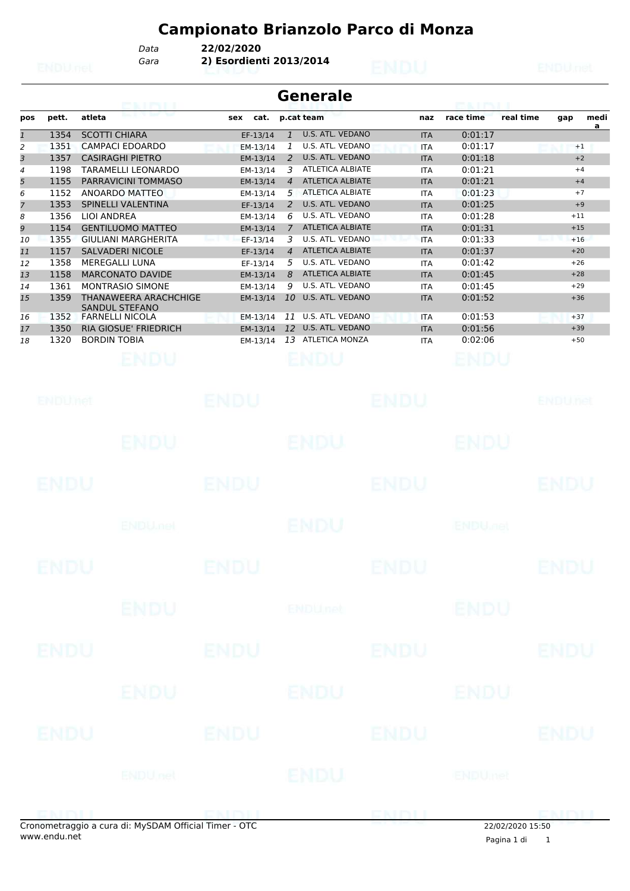*Gara* **2) Esordienti 2013/2014** *Data* **22/02/2020**

|                | <b>Generale</b><br><b>CONTRACTOR</b> |                                                |             |                |                         |  |            |                      |           |       |           |  |  |  |
|----------------|--------------------------------------|------------------------------------------------|-------------|----------------|-------------------------|--|------------|----------------------|-----------|-------|-----------|--|--|--|
| pos            | pett.                                | atleta                                         | cat.<br>sex |                | p.cat team              |  | naz        | race time            | real time | gap   | medi<br>a |  |  |  |
| $\mathbf{1}$   | 1354                                 | <b>SCOTTI CHIARA</b>                           | EF-13/14    |                | U.S. ATL. VEDANO        |  | <b>ITA</b> | 0:01:17              |           |       |           |  |  |  |
| 2              | 1351                                 | <b>CAMPACI EDOARDO</b>                         | EM-13/14    |                | U.S. ATL. VEDANO        |  | <b>ITA</b> | 0:01:17              |           | $+1$  |           |  |  |  |
| 3              | 1357                                 | <b>CASIRAGHI PIETRO</b>                        | EM-13/14    | $\mathcal{P}$  | U.S. ATL. VEDANO        |  | <b>ITA</b> | 0:01:18              |           | $+2$  |           |  |  |  |
| 4              | 1198                                 | TARAMELLI LEONARDO                             | EM-13/14    | 3              | <b>ATLETICA ALBIATE</b> |  | <b>ITA</b> | 0:01:21              |           | $+4$  |           |  |  |  |
| 5              | 1155                                 | PARRAVICINI TOMMASO                            | EM-13/14    | 4              | <b>ATLETICA ALBIATE</b> |  | <b>ITA</b> | 0:01:21              |           | $+4$  |           |  |  |  |
| 6              | 1152                                 | ANOARDO MATTEO                                 | EM-13/14    | 5              | <b>ATLETICA ALBIATE</b> |  | <b>ITA</b> | 0:01:23              |           | $+7$  |           |  |  |  |
| $\overline{7}$ | 1353                                 | SPINELLI VALENTINA                             | EF-13/14    | 2              | U.S. ATL. VEDANO        |  | <b>ITA</b> | 0:01:25              |           | $+9$  |           |  |  |  |
| 8              | 1356                                 | LIOI ANDREA                                    | EM-13/14    | 6              | U.S. ATL. VEDANO        |  | <b>ITA</b> | 0:01:28              |           | $+11$ |           |  |  |  |
| 9              | 1154                                 | <b>GENTILUOMO MATTEO</b>                       | EM-13/14    |                | <b>ATLETICA ALBIATE</b> |  | <b>ITA</b> | 0:01:31              |           | $+15$ |           |  |  |  |
| 10             | 1355                                 | <b>GIULIANI MARGHERITA</b>                     | EF-13/14    | 3              | U.S. ATL. VEDANO        |  | <b>ITA</b> | 0:01:33              |           | $+16$ |           |  |  |  |
| 11             | 1157                                 | <b>SALVADERI NICOLE</b>                        | EF-13/14    | $\overline{A}$ | <b>ATLETICA ALBIATE</b> |  | <b>ITA</b> | 0:01:37              |           | $+20$ |           |  |  |  |
| 12             | 1358                                 | <b>MEREGALLI LUNA</b>                          | EF-13/14    | 5.             | U.S. ATL. VEDANO        |  | <b>ITA</b> | 0:01:42              |           | $+26$ |           |  |  |  |
| 13             | 1158                                 | <b>MARCONATO DAVIDE</b>                        | EM-13/14    | 8              | <b>ATLETICA ALBIATE</b> |  | <b>ITA</b> | 0:01:45              |           | $+28$ |           |  |  |  |
| 14             | 1361                                 | MONTRASIO SIMONE                               | EM-13/14    | 9              | U.S. ATL. VEDANO        |  | <b>ITA</b> | 0:01:45              |           | $+29$ |           |  |  |  |
| 15             | 1359                                 | THANAWEERA ARACHCHIGE<br><b>SANDUL STEFANO</b> | EM-13/14    | 10             | U.S. ATL. VEDANO        |  | <b>ITA</b> | 0:01:52              |           | $+36$ |           |  |  |  |
| 16             | 1352                                 | <b>FARNELLI NICOLA</b>                         | EM-13/14    | 11             | U.S. ATL. VEDANO        |  | <b>ITA</b> | 0:01:53              |           | $+37$ |           |  |  |  |
| 17             | 1350                                 | <b>RIA GIOSUE' FRIEDRICH</b>                   | EM-13/14    | 12             | U.S. ATL. VEDANO        |  | <b>ITA</b> | 0:01:56              |           | $+39$ |           |  |  |  |
| 18             | 1320                                 | <b>BORDIN TOBIA</b>                            | EM-13/14    | 13             | <b>ATLETICA MONZA</b>   |  | <b>ITA</b> | 0:02:06              |           | $+50$ |           |  |  |  |
|                |                                      | <b>CONTRACTOR</b>                              |             |                | <b>PAGE ANTIQUE</b>     |  |            | <b>PERSONAL BURG</b> |           |       |           |  |  |  |

| <b>ENDUMet</b> |                                                    | <b>ENDU</b> |                | ENDU          |                           | <b>ENDUnet</b> |
|----------------|----------------------------------------------------|-------------|----------------|---------------|---------------------------|----------------|
|                | <b>ENDU</b>                                        |             | <b>ENDU</b>    |               | <b>ENDU</b>               |                |
| ENDU           |                                                    | <b>ENDU</b> |                | ENDU          |                           | ENDU           |
|                | <b>ENDU<sub>met</sub></b>                          |             | <b>ENDU</b>    |               | <b>ENDU<sub>DEL</sub></b> |                |
| <b>ENDU</b>    |                                                    | <b>ENDU</b> |                | <b>ENDU</b>   |                           | <b>ENDU</b>    |
|                | <b>ENDU</b>                                        |             | <b>ENDUnet</b> |               | <b>ENDU</b>               |                |
| ENDU           |                                                    | <b>ENDU</b> |                | <b>ENDU</b>   |                           | <b>ENDU</b>    |
|                | ENDU                                               |             | ENDU           |               | ENDU                      |                |
| <b>ENDU</b>    |                                                    | <b>ENDU</b> |                | <b>ENDU</b>   |                           | <b>ENDU</b>    |
|                | <b>ENDUnet</b>                                     |             | ENDU           |               | <b>ENDUmet</b>            |                |
|                | anomatraggio a cura di: MySDAM Official Timor. OTC |             |                | <b>ENTSIT</b> | $22/02/2020$ 15.50        |                |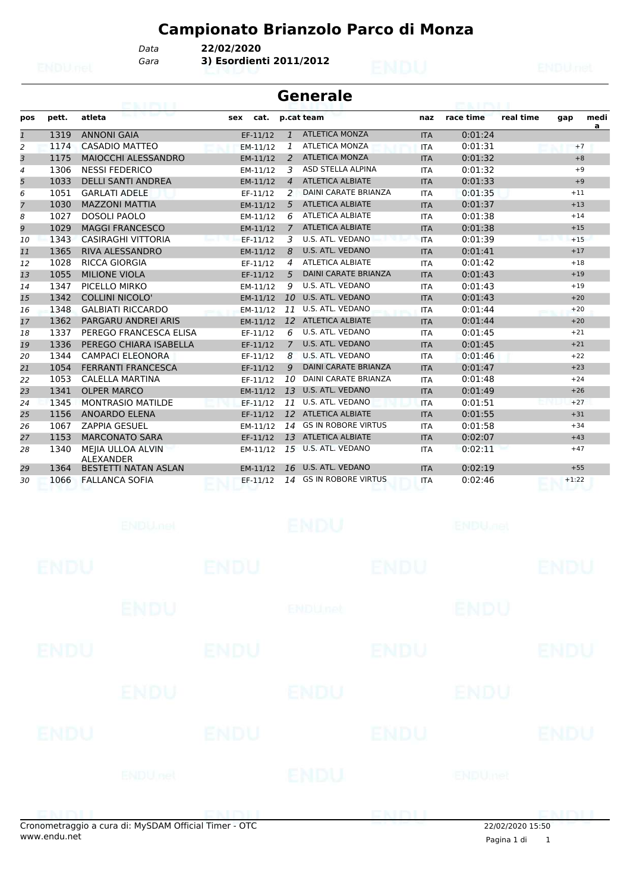*Gara* **3) Esordienti 2011/2012** *Data* **22/02/2020**

|              | Generale |                                       |     |          |                |                             |            |           |           |         |           |  |  |
|--------------|----------|---------------------------------------|-----|----------|----------------|-----------------------------|------------|-----------|-----------|---------|-----------|--|--|
| pos          | pett.    | atleta                                | sex | cat.     |                | p.cat team                  | naz        | race time | real time | gap     | medi<br>a |  |  |
| $\mathbf{1}$ | 1319     | <b>ANNONI GAIA</b>                    |     | EF-11/12 | $\mathbf{1}$   | <b>ATLETICA MONZA</b>       | <b>ITA</b> | 0:01:24   |           |         |           |  |  |
| 2            | 1174     | <b>CASADIO MATTEO</b>                 |     | EM-11/12 | 1              | <b>ATLETICA MONZA</b>       | <b>ITA</b> | 0:01:31   |           | $+7$    |           |  |  |
| 3            | 1175     | <b>MAIOCCHI ALESSANDRO</b>            |     | EM-11/12 | $\mathcal{P}$  | <b>ATLETICA MONZA</b>       | <b>ITA</b> | 0:01:32   |           | $+8$    |           |  |  |
| 4            | 1306     | <b>NESSI FEDERICO</b>                 |     | EM-11/12 | 3              | <b>ASD STELLA ALPINA</b>    | <b>ITA</b> | 0:01:32   |           | $+9$    |           |  |  |
| 5            | 1033     | <b>DELLI SANTI ANDREA</b>             |     | EM-11/12 | $\overline{4}$ | <b>ATLETICA ALBIATE</b>     | <b>ITA</b> | 0:01:33   |           | $+9$    |           |  |  |
| 6            | 1051     | <b>GARLATI ADELE</b>                  |     | EF-11/12 | $\mathcal{L}$  | <b>DAINI CARATE BRIANZA</b> | <b>ITA</b> | 0:01:35   |           | $+11$   |           |  |  |
| 7            | 1030     | <b>MAZZONI MATTIA</b>                 |     | EM-11/12 | 5              | <b>ATLETICA ALBIATE</b>     | <b>ITA</b> | 0:01:37   |           | $+13$   |           |  |  |
| 8            | 1027     | <b>DOSOLI PAOLO</b>                   |     | EM-11/12 | 6              | <b>ATLETICA ALBIATE</b>     | <b>ITA</b> | 0:01:38   |           | $+14$   |           |  |  |
| 9            | 1029     | <b>MAGGI FRANCESCO</b>                |     | EM-11/12 | 7              | <b>ATLETICA ALBIATE</b>     | <b>ITA</b> | 0:01:38   |           | $+15$   |           |  |  |
| 10           | 1343     | <b>CASIRAGHI VITTORIA</b>             |     | EF-11/12 | 3              | U.S. ATL. VEDANO            | <b>ITA</b> | 0:01:39   |           | $+15$   |           |  |  |
| 11           | 1365     | <b>RIVA ALESSANDRO</b>                |     | EM-11/12 | 8              | U.S. ATL. VEDANO            | <b>ITA</b> | 0:01:41   |           | $+17$   |           |  |  |
| 12           | 1028     | <b>RICCA GIORGIA</b>                  |     | EF-11/12 | 4              | <b>ATLETICA ALBIATE</b>     | <b>ITA</b> | 0:01:42   |           | $+18$   |           |  |  |
| 13           | 1055     | <b>MILIONE VIOLA</b>                  |     | EF-11/12 | 5              | <b>DAINI CARATE BRIANZA</b> | <b>ITA</b> | 0:01:43   |           | $+19$   |           |  |  |
| 14           | 1347     | PICELLO MIRKO                         |     | EM-11/12 | 9              | U.S. ATL. VEDANO            | <b>ITA</b> | 0:01:43   |           | $+19$   |           |  |  |
| 15           | 1342     | <b>COLLINI NICOLO'</b>                |     | EM-11/12 | 10             | U.S. ATL. VEDANO            | <b>ITA</b> | 0:01:43   |           | $+20$   |           |  |  |
| 16           | 1348     | <b>GALBIATI RICCARDO</b>              |     | EM-11/12 | 11             | U.S. ATL. VEDANO            | <b>ITA</b> | 0:01:44   |           | $+20$   |           |  |  |
| 17           | 1362     | <b>PARGARU ANDREI ARIS</b>            |     | EM-11/12 | 12             | <b>ATLETICA ALBIATE</b>     | <b>ITA</b> | 0:01:44   |           | $+20$   |           |  |  |
| 18           | 1337     | PEREGO FRANCESCA ELISA                |     | EF-11/12 | 6              | U.S. ATL. VEDANO            | <b>ITA</b> | 0:01:45   |           | $+21$   |           |  |  |
| 19           | 1336     | PEREGO CHIARA ISABELLA                |     | EF-11/12 | $\overline{7}$ | U.S. ATL. VEDANO            | <b>ITA</b> | 0:01:45   |           | $+21$   |           |  |  |
| 20           | 1344     | <b>CAMPACI ELEONORA</b>               |     | EF-11/12 | 8              | U.S. ATL. VEDANO            | <b>ITA</b> | 0:01:46   |           | $+22$   |           |  |  |
| 21           | 1054     | <b>FERRANTI FRANCESCA</b>             |     | EF-11/12 | 9              | <b>DAINI CARATE BRIANZA</b> | <b>ITA</b> | 0:01:47   |           | $+23$   |           |  |  |
| 22           | 1053     | CALELLA MARTINA                       |     | EF-11/12 | 10             | <b>DAINI CARATE BRIANZA</b> | <b>ITA</b> | 0:01:48   |           | $+24$   |           |  |  |
| 23           | 1341     | <b>OLPER MARCO</b>                    |     | EM-11/12 | 13             | U.S. ATL. VEDANO            | <b>ITA</b> | 0:01:49   |           | $+26$   |           |  |  |
| 24           | 1345     | <b>MONTRASIO MATILDE</b>              |     | EF-11/12 | 11             | U.S. ATL. VEDANO            | <b>ITA</b> | 0:01:51   |           | $+27$   |           |  |  |
| 25           | 1156     | <b>ANOARDO ELENA</b>                  |     | EF-11/12 |                | 12 ATLETICA ALBIATE         | <b>ITA</b> | 0:01:55   |           | $+31$   |           |  |  |
| 26           | 1067     | <b>ZAPPIA GESUEL</b>                  |     | EM-11/12 | 14             | <b>GS IN ROBORE VIRTUS</b>  | <b>ITA</b> | 0:01:58   |           | $+34$   |           |  |  |
| 27           | 1153     | <b>MARCONATO SARA</b>                 |     | EF-11/12 | 13             | <b>ATLETICA ALBIATE</b>     | <b>ITA</b> | 0:02:07   |           | $+43$   |           |  |  |
| 28           | 1340     | MEJIA ULLOA ALVIN<br><b>ALEXANDER</b> |     | EM-11/12 |                | 15 U.S. ATL. VEDANO         | <b>ITA</b> | 0:02:11   |           | $+47$   |           |  |  |
| 29           | 1364     | <b>BESTETTI NATAN ASLAN</b>           |     | EM-11/12 |                | 16 U.S. ATL. VEDANO         | <b>ITA</b> | 0:02:19   |           | $+55$   |           |  |  |
| 30           | 1066     | <b>FALLANCA SOFIA</b>                 |     | EF-11/12 | 14             | <b>GS IN ROBORE VIRTUS</b>  | <b>ITA</b> | 0:02:46   |           | $+1:22$ |           |  |  |

|             | onometraggio a cura di: MySDAM Official Timer - OTC |             |                | ENDIJ       | 22/02/2020 15:50 | CNIN I II   |
|-------------|-----------------------------------------------------|-------------|----------------|-------------|------------------|-------------|
|             | <b>ENDUnet</b>                                      |             | ENDU           |             | ENDUmet          |             |
| <b>ENDU</b> |                                                     | <b>ENDU</b> |                | <b>ENDU</b> |                  | <b>ENDU</b> |
|             | <b>ENDU</b>                                         |             | <b>ENDU</b>    |             | ENDU             |             |
| ENDU        |                                                     | <b>ENDU</b> |                | <b>ENDU</b> |                  | <b>ENDU</b> |
|             | ENDU                                                |             | <b>ENDUmet</b> |             | <b>ENDU</b>      |             |
| <b>ENDU</b> |                                                     | <b>ENDU</b> |                | <b>ENDU</b> |                  | <b>ENDU</b> |
|             | <b>ENDU<sub>met</sub></b>                           |             | <b>ENDU</b>    |             | <b>ENDUmet</b>   |             |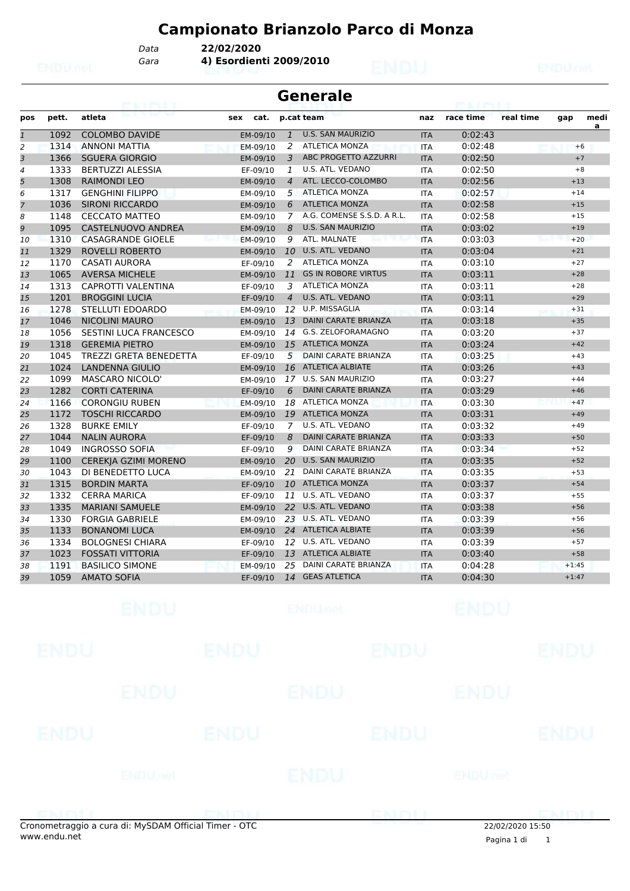*Gara* **4) Esordienti 2009/2010** *Data* **22/02/2020**

| pos            | pett. | atleta                        | sex<br>cat. |                | p.cat team                   | naz        | race time          | real time | gap     | medi<br>a |
|----------------|-------|-------------------------------|-------------|----------------|------------------------------|------------|--------------------|-----------|---------|-----------|
| $\mathbf{1}$   | 1092  | <b>COLOMBO DAVIDE</b>         | EM-09/10    | $\mathbf{1}$   | <b>U.S. SAN MAURIZIO</b>     | <b>ITA</b> | 0:02:43            |           |         |           |
| $\overline{a}$ | 1314  | ANNONI MATTIA                 | EM-09/10    | 2              | <b>ATLETICA MONZA</b>        | <b>ITA</b> | 0:02:48            |           | $+6$    |           |
| 3              | 1366  | <b>SGUERA GIORGIO</b>         | EM-09/10    | 3              | ABC PROGETTO AZZURRI         | <b>ITA</b> | 0:02:50            |           | $+7$    |           |
| 4              | 1333  | <b>BERTUZZI ALESSIA</b>       | EF-09/10    | 1              | U.S. ATL. VEDANO             | <b>ITA</b> | 0:02:50            |           | $+8$    |           |
| 5              | 1308  | <b>RAIMONDI LEO</b>           | EM-09/10    | $\overline{4}$ | ATL. LECCO-COLOMBO           | <b>ITA</b> | 0:02:56            |           | $+13$   |           |
| 6              | 1317  | <b>GENGHINI FILIPPO</b>       | EM-09/10    |                | 5 ATLETICA MONZA             | <b>ITA</b> | 0:02:57            |           | $+14$   |           |
| 7              | 1036  | <b>SIRONI RICCARDO</b>        | EM-09/10    | 6              | <b>ATLETICA MONZA</b>        | <b>ITA</b> | 0:02:58            |           | $+15$   |           |
| 8              | 1148  | <b>CECCATO MATTEO</b>         | EM-09/10    |                | 7 A.G. COMENSE S.S.D. A R.L. | <b>ITA</b> | 0:02:58            |           | $+15$   |           |
| 9              | 1095  | <b>CASTELNUOVO ANDREA</b>     | EM-09/10    | 8              | <b>U.S. SAN MAURIZIO</b>     | <b>ITA</b> | 0:03:02            |           | $+19$   |           |
| 10             | 1310  | <b>CASAGRANDE GIOELE</b>      | EM-09/10    | 9              | ATL. MALNATE                 | <b>ITA</b> | 0:03:03            |           | $+20$   |           |
| 11             | 1329  | <b>ROVELLI ROBERTO</b>        | EM-09/10    | 10             | U.S. ATL. VEDANO             | <b>ITA</b> | 0:03:04            |           | $+21$   |           |
| 12             | 1170  | <b>CASATI AURORA</b>          | EF-09/10    | 2              | <b>ATLETICA MONZA</b>        | <b>ITA</b> | 0:03:10            |           | $+27$   |           |
| 13             | 1065  | <b>AVERSA MICHELE</b>         | EM-09/10    |                | 11 GS IN ROBORE VIRTUS       | <b>ITA</b> | 0:03:11            |           | $+28$   |           |
| 14             | 1313  | <b>CAPROTTI VALENTINA</b>     | EF-09/10    | 3              | <b>ATLETICA MONZA</b>        | <b>ITA</b> | 0:03:11            |           | $+28$   |           |
| 15             | 1201  | <b>BROGGINI LUCIA</b>         | EF-09/10    | $\overline{4}$ | U.S. ATL. VEDANO             | <b>ITA</b> | 0:03:11            |           | $+29$   |           |
| 16             | 1278  | STELLUTI EDOARDO              | EM-09/10    |                | 12 U.P. MISSAGLIA            | <b>ITA</b> | 0:03:14            |           | $+31$   |           |
| 17             | 1046  | <b>NICOLINI MAURO</b>         | EM-09/10    | 13             | <b>DAINI CARATE BRIANZA</b>  | <b>ITA</b> | 0:03:18            |           | $+35$   |           |
| 18             | 1056  | SESTINI LUCA FRANCESCO        | EM-09/10    |                | 14 G.S. ZELOFORAMAGNO        | <b>ITA</b> | 0:03:20            |           | $+37$   |           |
| 19             | 1318  | <b>GEREMIA PIETRO</b>         | EM-09/10    |                | 15 ATLETICA MONZA            | <b>ITA</b> | 0:03:24            |           | $+42$   |           |
| 20             | 1045  | <b>TREZZI GRETA BENEDETTA</b> | EF-09/10    | 5              | <b>DAINI CARATE BRIANZA</b>  | <b>ITA</b> | 0:03:25            |           | $+43$   |           |
| 21             | 1024  | <b>LANDENNA GIULIO</b>        | EM-09/10    |                | 16 ATLETICA ALBIATE          | <b>ITA</b> | 0:03:26            |           | $+43$   |           |
| 22             | 1099  | <b>MASCARO NICOLO'</b>        | EM-09/10    |                | 17 U.S. SAN MAURIZIO         | <b>ITA</b> | 0:03:27            |           | $+44$   |           |
| 23             | 1282  | <b>CORTI CATERINA</b>         | EF-09/10    | 6              | <b>DAINI CARATE BRIANZA</b>  | <b>ITA</b> | 0:03:29            |           | $+46$   |           |
| 24             | 1166  | <b>CORONGIU RUBEN</b>         | EM-09/10    |                | 18 ATLETICA MONZA            | <b>ITA</b> | 0:03:30            |           | $+47$   |           |
| 25             | 1172  | <b>TOSCHI RICCARDO</b>        | EM-09/10    |                | 19 ATLETICA MONZA            | <b>ITA</b> | 0:03:31            |           | $+49$   |           |
| 26             | 1328  | <b>BURKE EMILY</b>            | EF-09/10    | 7 <sup>7</sup> | U.S. ATL. VEDANO             | <b>ITA</b> | 0:03:32            |           | $+49$   |           |
| 27             | 1044  | <b>NALIN AURORA</b>           | EF-09/10    | 8              | <b>DAINI CARATE BRIANZA</b>  | <b>ITA</b> | 0:03:33            |           | $+50$   |           |
| 28             | 1049  | <b>INGROSSO SOFIA</b>         | EF-09/10    | 9              | <b>DAINI CARATE BRIANZA</b>  | <b>ITA</b> | 0:03:34            |           | $+52$   |           |
| 29             | 1100  | CEREKJA GZIMI MORENO          | EM-09/10    |                | 20 U.S. SAN MAURIZIO         | <b>ITA</b> | 0:03:35            |           | $+52$   |           |
| 30             | 1043  | DI BENEDETTO LUCA             | EM-09/10    | 21             | DAINI CARATE BRIANZA         | <b>ITA</b> | 0:03:35            |           | $+53$   |           |
| 31             | 1315  | <b>BORDIN MARTA</b>           | EF-09/10    |                | 10 ATLETICA MONZA            | <b>ITA</b> | 0:03:37            |           | $+54$   |           |
| 32             | 1332  | <b>CERRA MARICA</b>           | EF-09/10    |                | 11 U.S. ATL. VEDANO          | <b>ITA</b> | 0:03:37            |           | $+55$   |           |
| 33             | 1335  | <b>MARIANI SAMUELE</b>        | EM-09/10    |                | 22 U.S. ATL. VEDANO          | <b>ITA</b> | 0:03:38            |           | $+56$   |           |
| 34             | 1330  | <b>FORGIA GABRIELE</b>        | EM-09/10    |                | 23 U.S. ATL. VEDANO          | <b>ITA</b> | 0:03:39            |           | $+56$   |           |
| 35             | 1133  | <b>BONANOMI LUCA</b>          | EM-09/10    |                | 24 ATLETICA ALBIATE          | <b>ITA</b> | 0:03:39            |           | $+56$   |           |
| 36             | 1334  | <b>BOLOGNESI CHIARA</b>       | EF-09/10    |                | 12 U.S. ATL. VEDANO          | <b>ITA</b> | 0:03:39            |           | $+57$   |           |
| 37             | 1023  | <b>FOSSATI VITTORIA</b>       | EF-09/10    |                | 13 ATLETICA ALBIATE          | <b>ITA</b> | 0:03:40            |           | $+58$   |           |
| 38             | 1191  | <b>BASILICO SIMONE</b>        | EM-09/10    | 25             | DAINI CARATE BRIANZA         | <b>ITA</b> | 0:04:28            |           | $+1:45$ |           |
| 39             | 1059  | <b>AMATO SOFIA</b>            | EF-09/10    |                | 14 GEAS ATLETICA             | <b>ITA</b> | 0:04:30            |           | $+1:47$ |           |
|                |       | <b>EATPLE</b>                 |             |                |                              |            | <b>PRIDE STATE</b> |           |         |           |
|                |       |                               |             |                |                              |            |                    |           |         |           |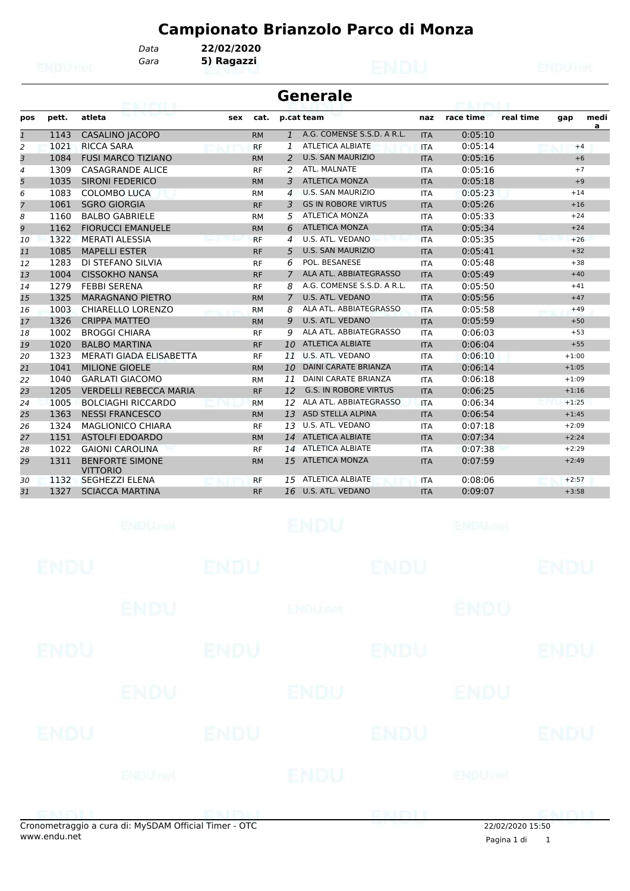*Gara* **5) Ragazzi**

*Data* **22/02/2020**

|                |       | <b>TIPY ET</b>                            |     |           |                | <b>Generale</b>              |            |           |           |         |      |
|----------------|-------|-------------------------------------------|-----|-----------|----------------|------------------------------|------------|-----------|-----------|---------|------|
| pos            | pett. | atleta                                    | sex | cat.      |                | p.cat team                   | naz        | race time | real time | gap     | medi |
| $\mathbf{1}$   | 1143  | <b>CASALINO JACOPO</b>                    |     | <b>RM</b> | $\mathbf{1}$   | A.G. COMENSE S.S.D. A R.L.   | <b>ITA</b> | 0:05:10   |           |         | a    |
| 2              | 1021  | <b>RICCA SARA</b>                         |     | <b>RF</b> | 1              | <b>ATLETICA ALBIATE</b>      | <b>ITA</b> | 0:05:14   |           | $+4$    |      |
| 3              | 1084  | <b>FUSI MARCO TIZIANO</b>                 |     | <b>RM</b> | 2              | <b>U.S. SAN MAURIZIO</b>     | <b>ITA</b> | 0:05:16   |           | $+6$    |      |
| $\overline{4}$ | 1309  | <b>CASAGRANDE ALICE</b>                   |     | <b>RF</b> | 2              | ATL. MALNATE                 | <b>ITA</b> | 0:05:16   |           | $+7$    |      |
| 5              | 1035  | <b>SIRONI FEDERICO</b>                    |     | <b>RM</b> | 3              | <b>ATLETICA MONZA</b>        | <b>ITA</b> | 0:05:18   |           | $+9$    |      |
| 6              | 1083  | <b>COLOMBO LUCA</b>                       |     | <b>RM</b> | 4              | <b>U.S. SAN MAURIZIO</b>     | <b>ITA</b> | 0:05:23   |           | $+14$   |      |
| 7              | 1061  | <b>SGRO GIORGIA</b>                       |     | <b>RF</b> | 3              | <b>GS IN ROBORE VIRTUS</b>   | <b>ITA</b> | 0:05:26   |           | $+16$   |      |
| 8              | 1160  | <b>BALBO GABRIELE</b>                     |     | <b>RM</b> | 5              | <b>ATLETICA MONZA</b>        | <b>ITA</b> | 0:05:33   |           | $+24$   |      |
| 9              | 1162  | <b>FIORUCCI EMANUELE</b>                  |     | <b>RM</b> | 6              | <b>ATLETICA MONZA</b>        | <b>ITA</b> | 0:05:34   |           | $+24$   |      |
| 10             | 1322  | <b>MERATI ALESSIA</b>                     |     | <b>RF</b> | 4              | U.S. ATL. VEDANO             | <b>ITA</b> | 0:05:35   |           | $+26$   |      |
| 11             | 1085  | <b>MAPELLI ESTER</b>                      |     | <b>RF</b> | 5              | <b>U.S. SAN MAURIZIO</b>     | <b>ITA</b> | 0:05:41   |           | $+32$   |      |
| 12             | 1283  | DI STEFANO SILVIA                         |     | <b>RF</b> | 6              | POL. BESANESE                | <b>ITA</b> | 0:05:48   |           | $+38$   |      |
| 13             | 1004  | <b>CISSOKHO NANSA</b>                     |     | <b>RF</b> | $\overline{7}$ | ALA ATL. ABBIATEGRASSO       | <b>ITA</b> | 0:05:49   |           | $+40$   |      |
| 14             | 1279  | <b>FEBBI SERENA</b>                       |     | <b>RF</b> | 8              | A.G. COMENSE S.S.D. A R.L.   | <b>ITA</b> | 0:05:50   |           | $+41$   |      |
| 15             | 1325  | <b>MARAGNANO PIETRO</b>                   |     | <b>RM</b> | $\overline{7}$ | U.S. ATL. VEDANO             | <b>ITA</b> | 0:05:56   |           | $+47$   |      |
| 16             | 1003  | <b>CHIARELLO LORENZO</b>                  |     | <b>RM</b> | 8              | ALA ATL. ABBIATEGRASSO       | <b>ITA</b> | 0:05:58   |           | $+49$   |      |
| 17             | 1326  | <b>CRIPPA MATTEO</b>                      |     | <b>RM</b> | 9              | U.S. ATL. VEDANO             | <b>ITA</b> | 0:05:59   |           | $+50$   |      |
| 18             | 1002  | <b>BROGGI CHIARA</b>                      |     | <b>RF</b> | 9              | ALA ATL. ABBIATEGRASSO       | <b>ITA</b> | 0:06:03   |           | $+53$   |      |
| 19             | 1020  | <b>BALBO MARTINA</b>                      |     | <b>RF</b> | 10             | <b>ATLETICA ALBIATE</b>      | <b>ITA</b> | 0:06:04   |           | $+55$   |      |
| 20             | 1323  | MERATI GIADA ELISABETTA                   |     | <b>RF</b> | 11             | U.S. ATL. VEDANO             | <b>ITA</b> | 0:06:10   |           | $+1:00$ |      |
| 21             | 1041  | <b>MILIONE GIOELE</b>                     |     | <b>RM</b> | 10             | <b>DAINI CARATE BRIANZA</b>  | <b>ITA</b> | 0:06:14   |           | $+1:05$ |      |
| 22             | 1040  | <b>GARLATI GIACOMO</b>                    |     | <b>RM</b> | 11             | <b>DAINI CARATE BRIANZA</b>  | <b>ITA</b> | 0:06:18   |           | $+1:09$ |      |
| 23             | 1205  | <b>VERDELLI REBECCA MARIA</b>             |     | <b>RF</b> | 12             | <b>G.S. IN ROBORE VIRTUS</b> | <b>ITA</b> | 0:06:25   |           | $+1:16$ |      |
| 24             | 1005  | <b>BOLCIAGHI RICCARDO</b>                 |     | <b>RM</b> | 12             | ALA ATL. ABBIATEGRASSO       | <b>ITA</b> | 0:06:34   |           | $+1:25$ |      |
| 25             | 1363  | <b>NESSI FRANCESCO</b>                    |     | <b>RM</b> | 13             | <b>ASD STELLA ALPINA</b>     | <b>ITA</b> | 0:06:54   |           | $+1:45$ |      |
| 26             | 1324  | <b>MAGLIONICO CHIARA</b>                  |     | <b>RF</b> | 13             | U.S. ATL. VEDANO             | <b>ITA</b> | 0:07:18   |           | $+2:09$ |      |
| 27             | 1151  | <b>ASTOLFI EDOARDO</b>                    |     | <b>RM</b> | 14             | <b>ATLETICA ALBIATE</b>      | <b>ITA</b> | 0:07:34   |           | $+2:24$ |      |
| 28             | 1022  | <b>GAIONI CAROLINA</b>                    |     | <b>RF</b> | 14             | <b>ATLETICA ALBIATE</b>      | <b>ITA</b> | 0:07:38   |           | $+2:29$ |      |
| 29             | 1311  | <b>BENFORTE SIMONE</b><br><b>VITTORIO</b> |     | <b>RM</b> | 15             | <b>ATLETICA MONZA</b>        | <b>ITA</b> | 0:07:59   |           | $+2:49$ |      |
| 30             | 1132  | <b>SEGHEZZI ELENA</b>                     |     | <b>RF</b> | 15             | <b>ATLETICA ALBIATE</b>      | <b>ITA</b> | 0:08:06   |           | $+2:57$ |      |
| 31             | 1327  | <b>SCIACCA MARTINA</b>                    |     | <b>RF</b> | 16             | U.S. ATL. VEDANO             | <b>ITA</b> | 0:09:07   |           | $+3:58$ |      |

|             | species through a cure di. M.CDAM Official Timer. OTC |             |                           | ENDIT       | $22,02,02,03,0,15,50$     | enin'i I    |
|-------------|-------------------------------------------------------|-------------|---------------------------|-------------|---------------------------|-------------|
|             | <b>ENDUnet</b>                                        |             | ENDU                      |             | ENDUmet                   |             |
| <b>ENDU</b> |                                                       | <b>ENDU</b> |                           | <b>ENDU</b> |                           | <b>ENDU</b> |
|             | <b>ENDU</b>                                           |             | ENDU                      |             | <b>ENDU</b>               |             |
| <b>ENDU</b> |                                                       | <b>ENDU</b> |                           | <b>ENDU</b> |                           | <b>ENDU</b> |
|             | ENDU                                                  |             | <b>ENDU<sub>net</sub></b> |             | <b>ENDU</b>               |             |
| <b>ENDU</b> |                                                       | <b>ENDU</b> |                           | <b>ENDU</b> |                           | <b>ENDU</b> |
|             | <b>ENDUMBL</b>                                        |             | <b>ENDU</b>               |             | <b>ENDU<sub>DEL</sub></b> |             |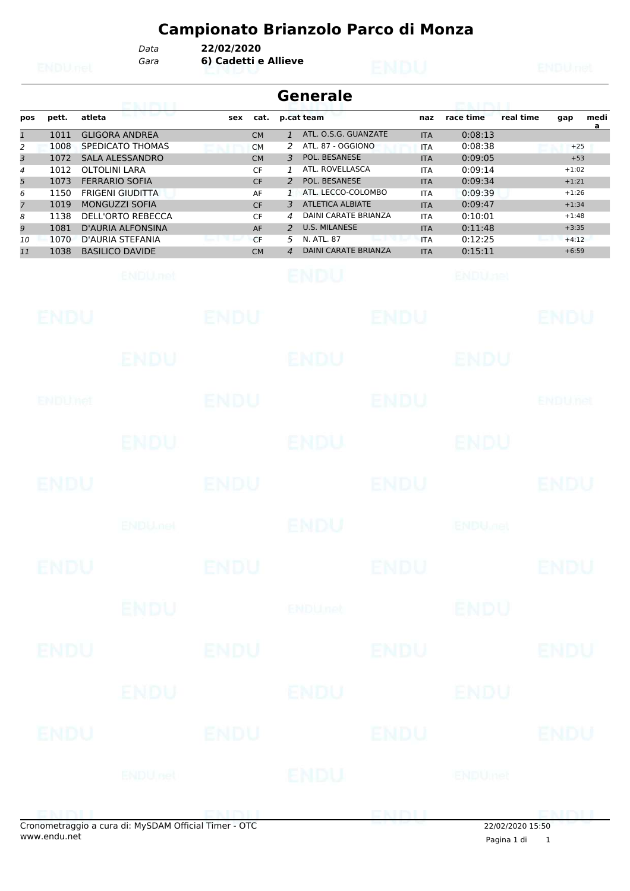*Gara* **6) Cadetti e Allieve** *Data* **22/02/2020**

|                                                                  |                                                                                      | GRIMLI                                                                                                                                                                                                                                                                                      |                                                                                                                        | <b>Generale</b>                                                                                                                                                                                                                                                                                                                                                    |                                                                                                                                                 | <b>EALLINE</b>                                                                                                                          |           |                                                                                                        |           |
|------------------------------------------------------------------|--------------------------------------------------------------------------------------|---------------------------------------------------------------------------------------------------------------------------------------------------------------------------------------------------------------------------------------------------------------------------------------------|------------------------------------------------------------------------------------------------------------------------|--------------------------------------------------------------------------------------------------------------------------------------------------------------------------------------------------------------------------------------------------------------------------------------------------------------------------------------------------------------------|-------------------------------------------------------------------------------------------------------------------------------------------------|-----------------------------------------------------------------------------------------------------------------------------------------|-----------|--------------------------------------------------------------------------------------------------------|-----------|
| pos                                                              | pett.                                                                                | atleta                                                                                                                                                                                                                                                                                      | cat.<br>sex                                                                                                            | p.cat team                                                                                                                                                                                                                                                                                                                                                         | naz                                                                                                                                             | race time                                                                                                                               | real time | gap                                                                                                    | medi<br>a |
| $\mathbf{1}$<br>2<br>3<br>4<br>5<br>6<br>7<br>8<br>9<br>10<br>11 | 1011<br>1008<br>1072<br>1012<br>1073<br>1150<br>1019<br>1138<br>1081<br>1070<br>1038 | <b>GLIGORA ANDREA</b><br>SPEDICATO THOMAS<br><b>SALA ALESSANDRO</b><br><b>OLTOLINI LARA</b><br><b>FERRARIO SOFIA</b><br><b>FRIGENI GIUDITTA</b><br>MONGUZZI SOFIA<br><b>DELL'ORTO REBECCA</b><br><b>D'AURIA ALFONSINA</b><br>D'AURIA STEFANIA<br><b>BASILICO DAVIDE</b><br><b>ENDU</b> .net | <b>CM</b><br><b>CM</b><br><b>CM</b><br><b>CF</b><br><b>CF</b><br>AF<br><b>CF</b><br>CF<br>AF<br><b>CF</b><br><b>CM</b> | ATL. O.S.G. GUANZATE<br>$\mathbf{1}$<br>ATL. 87 - OGGIONO<br>2<br>POL. BESANESE<br>3<br>ATL. ROVELLASCA<br>1<br>POL. BESANESE<br>2<br>ATL. LECCO-COLOMBO<br>$\mathbf{1}$<br><b>ATLETICA ALBIATE</b><br>3<br>DAINI CARATE BRIANZA<br>4<br><b>U.S. MILANESE</b><br>$\overline{2}$<br>N. ATL, 87<br>5<br><b>DAINI CARATE BRIANZA</b><br>$\overline{4}$<br><b>ENDU</b> | <b>ITA</b><br>ITA<br><b>ITA</b><br><b>ITA</b><br><b>ITA</b><br><b>ITA</b><br><b>ITA</b><br><b>ITA</b><br><b>ITA</b><br><b>ITA</b><br><b>ITA</b> | 0:08:13<br>0:08:38<br>0:09:05<br>0:09:14<br>0:09:34<br>0:09:39<br>0:09:47<br>0:10:01<br>0:11:48<br>0:12:25<br>0:15:11<br><b>ENDUnet</b> |           | $+25$<br>$+53$<br>$+1:02$<br>$+1:21$<br>$+1:26$<br>$+1:34$<br>$+1:48$<br>$+3:35$<br>$+4:12$<br>$+6:59$ |           |
|                                                                  | ENDU                                                                                 |                                                                                                                                                                                                                                                                                             | ENDU                                                                                                                   | ENDU                                                                                                                                                                                                                                                                                                                                                               |                                                                                                                                                 |                                                                                                                                         |           | ENDU                                                                                                   |           |
|                                                                  |                                                                                      | ENDU                                                                                                                                                                                                                                                                                        |                                                                                                                        | ENDU                                                                                                                                                                                                                                                                                                                                                               |                                                                                                                                                 | ENDU                                                                                                                                    |           |                                                                                                        |           |
|                                                                  | ENDUMet                                                                              |                                                                                                                                                                                                                                                                                             | <b>ENDU</b>                                                                                                            | ENDU                                                                                                                                                                                                                                                                                                                                                               |                                                                                                                                                 |                                                                                                                                         |           | <b>ENDUTet</b>                                                                                         |           |
|                                                                  |                                                                                      | <b>ENDU</b>                                                                                                                                                                                                                                                                                 |                                                                                                                        | ENDU                                                                                                                                                                                                                                                                                                                                                               |                                                                                                                                                 | ENDU                                                                                                                                    |           |                                                                                                        |           |
|                                                                  | ENDU                                                                                 |                                                                                                                                                                                                                                                                                             | ENDU                                                                                                                   | <b>ENDU</b>                                                                                                                                                                                                                                                                                                                                                        |                                                                                                                                                 |                                                                                                                                         |           | ENDU                                                                                                   |           |
|                                                                  |                                                                                      | <b>ENDU net</b>                                                                                                                                                                                                                                                                             |                                                                                                                        | ENDU                                                                                                                                                                                                                                                                                                                                                               |                                                                                                                                                 | <b>ENDU<sub>DER</sub></b>                                                                                                               |           |                                                                                                        |           |
|                                                                  | ENDU                                                                                 |                                                                                                                                                                                                                                                                                             | <b>ENDU</b>                                                                                                            | ENDU                                                                                                                                                                                                                                                                                                                                                               |                                                                                                                                                 |                                                                                                                                         |           | <b>ENDU</b>                                                                                            |           |
|                                                                  |                                                                                      | <b>ENDU</b>                                                                                                                                                                                                                                                                                 |                                                                                                                        | <b>ENDU<sub>net</sub></b>                                                                                                                                                                                                                                                                                                                                          |                                                                                                                                                 | <b>ENDU</b>                                                                                                                             |           |                                                                                                        |           |
|                                                                  | <b>ENDU</b>                                                                          |                                                                                                                                                                                                                                                                                             | <b>ENDU</b>                                                                                                            | <b>ENDU</b><br><b>ENDU</b>                                                                                                                                                                                                                                                                                                                                         |                                                                                                                                                 |                                                                                                                                         |           | <b>ENDU</b>                                                                                            |           |
|                                                                  | ENDU                                                                                 | ENDU                                                                                                                                                                                                                                                                                        | <b>ENDU</b>                                                                                                            | <b>ENDU</b>                                                                                                                                                                                                                                                                                                                                                        |                                                                                                                                                 | ENDU                                                                                                                                    |           | <b>ENDU</b>                                                                                            |           |
|                                                                  |                                                                                      | <b>ENDU</b> nel                                                                                                                                                                                                                                                                             |                                                                                                                        | ENDU                                                                                                                                                                                                                                                                                                                                                               |                                                                                                                                                 | <b>ENDUmet</b>                                                                                                                          |           |                                                                                                        |           |
|                                                                  | ENIMIL                                                                               |                                                                                                                                                                                                                                                                                             | ENDIL                                                                                                                  | ENDL                                                                                                                                                                                                                                                                                                                                                               |                                                                                                                                                 |                                                                                                                                         |           | <b>DMMIT</b>                                                                                           |           |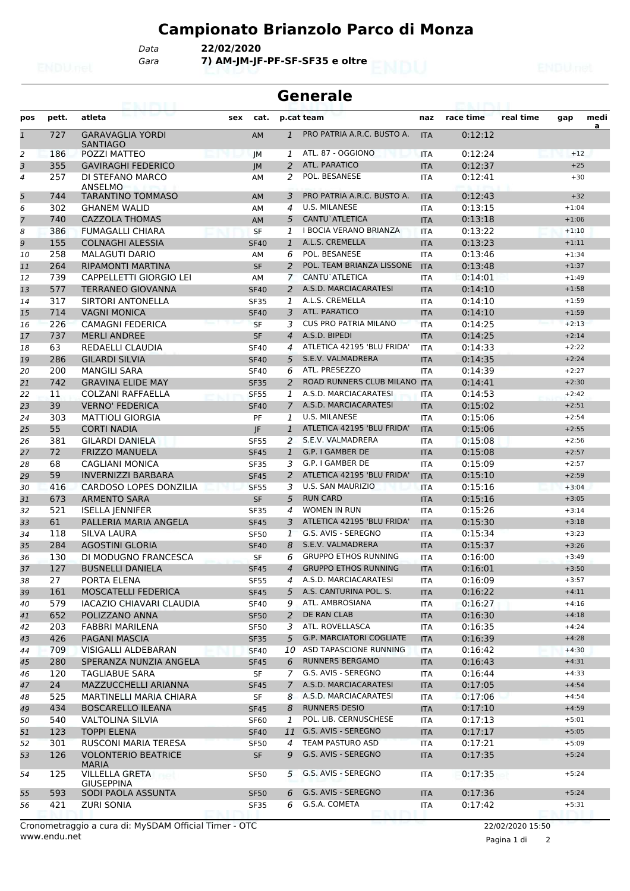*Gara* **7) AM-JM-JF-PF-SF-SF35 e oltre** *Data* **22/02/2020**

### **Generale**

| pos            | pett. | atleta                                  | sex | cat.        |                | p.cat team                      | naz        | race time | real time | gap     | medi |
|----------------|-------|-----------------------------------------|-----|-------------|----------------|---------------------------------|------------|-----------|-----------|---------|------|
| $\mathbf{1}$   | 727   | <b>GARAVAGLIA YORDI</b>                 |     | <b>AM</b>   | $\mathbf{1}$   | PRO PATRIA A.R.C. BUSTO A.      | <b>ITA</b> | 0:12:12   |           |         | a    |
|                |       | <b>SANTIAGO</b>                         |     |             |                |                                 |            |           |           |         |      |
| 2              | 186   | POZZI MATTEO                            |     | JM          | 1              | ATL, 87 - OGGIONO               | <b>ITA</b> | 0:12:24   |           | $+12$   |      |
| 3              | 355   | <b>GAVIRAGHI FEDERICO</b>               |     | JM          | 2              | ATL. PARATICO                   | <b>ITA</b> | 0:12:37   |           | $+25$   |      |
| $\overline{4}$ | 257   | DI STEFANO MARCO<br>ANSELMO             |     | AM          | 2              | POL. BESANESE                   | <b>ITA</b> | 0:12:41   |           | $+30$   |      |
| 5              | 744   | <b>TARANTINO TOMMASO</b>                |     | AM          | 3              | PRO PATRIA A.R.C. BUSTO A.      | <b>ITA</b> | 0:12:43   |           | $+32$   |      |
| 6              | 302   | <b>GHANEM WALID</b>                     |     | AM          | $\overline{4}$ | <b>U.S. MILANESE</b>            | <b>ITA</b> | 0:13:15   |           | $+1:04$ |      |
| 7              | 740   | <b>CAZZOLA THOMAS</b>                   |     | <b>AM</b>   | 5              | CANTU`ATLETICA                  | <b>ITA</b> | 0:13:18   |           | $+1:06$ |      |
| 8              | 386   | <b>FUMAGALLI CHIARA</b>                 |     | <b>SF</b>   | 1              | <b>I BOCIA VERANO BRIANZA</b>   | <b>ITA</b> | 0:13:22   |           | $+1:10$ |      |
| 9              | 155   | <b>COLNAGHI ALESSIA</b>                 |     | <b>SF40</b> | $\mathbf{1}$   | A.L.S. CREMELLA                 | <b>ITA</b> | 0:13:23   |           | $+1:11$ |      |
| 10             | 258   | <b>MALAGUTI DARIO</b>                   |     | AM          | 6              | POL. BESANESE                   | <b>ITA</b> | 0:13:46   |           | $+1:34$ |      |
| 11             | 264   | <b>RIPAMONTI MARTINA</b>                |     | <b>SF</b>   | 2              | POL. TEAM BRIANZA LISSONE       | <b>ITA</b> | 0:13:48   |           | $+1:37$ |      |
| 12             | 739   | CAPPELLETTI GIORGIO LEI                 |     | AM          | $\overline{7}$ | CANTU`ATLETICA                  | <b>ITA</b> | 0:14:01   |           | $+1:49$ |      |
| 13             | 577   | <b>TERRANEO GIOVANNA</b>                |     | <b>SF40</b> | 2              | A.S.D. MARCIACARATESI           | <b>ITA</b> | 0:14:10   |           | $+1:58$ |      |
| 14             | 317   | SIRTORI ANTONELLA                       |     | <b>SF35</b> | 1              | A.L.S. CREMELLA                 | <b>ITA</b> | 0:14:10   |           | $+1:59$ |      |
| 15             | 714   | <b>VAGNI MONICA</b>                     |     | <b>SF40</b> | 3              | ATL. PARATICO                   | <b>ITA</b> | 0:14:10   |           | $+1:59$ |      |
| 16             | 226   | <b>CAMAGNI FEDERICA</b>                 |     | <b>SF</b>   | 3              | <b>CUS PRO PATRIA MILANO</b>    | <b>ITA</b> | 0:14:25   |           | $+2:13$ |      |
| 17             | 737   | <b>MERLI ANDREE</b>                     |     | <b>SF</b>   | $\overline{4}$ | A.S.D. BIPEDI                   | <b>ITA</b> | 0:14:25   |           | $+2:14$ |      |
| 18             | 63    | REDAELLI CLAUDIA                        |     | <b>SF40</b> | 4              | ATLETICA 42195 'BLU FRIDA'      | <b>ITA</b> | 0:14:33   |           | $+2:22$ |      |
| 19             | 286   | <b>GILARDI SILVIA</b>                   |     | <b>SF40</b> | 5              | S.E.V. VALMADRERA               | <b>ITA</b> | 0:14:35   |           | $+2:24$ |      |
| 20             | 200   | <b>MANGILI SARA</b>                     |     | <b>SF40</b> | 6              | ATL. PRESEZZO                   | <b>ITA</b> | 0:14:39   |           | $+2:27$ |      |
| 21             | 742   | <b>GRAVINA ELIDE MAY</b>                |     | <b>SF35</b> | 2              | ROAD RUNNERS CLUB MILANO ITA    |            | 0:14:41   |           | $+2:30$ |      |
| 22             | 11    | <b>COLZANI RAFFAELLA</b>                |     | <b>SF55</b> | 1              | A.S.D. MARCIACARATESI           | ITA        | 0:14:53   |           | $+2:42$ |      |
| 23             | 39    | <b>VERNO' FEDERICA</b>                  |     | <b>SF40</b> | $\overline{7}$ | A.S.D. MARCIACARATESI           | <b>ITA</b> | 0:15:02   |           | $+2:51$ |      |
| 24             | 303   | <b>MATTIOLI GIORGIA</b>                 |     | PF          | 1              | <b>U.S. MILANESE</b>            | <b>ITA</b> | 0:15:06   |           | $+2:54$ |      |
| 25             | 55    | <b>CORTI NADIA</b>                      |     | IF.         | $\mathbf{1}$   | ATLETICA 42195 'BLU FRIDA'      | <b>ITA</b> | 0:15:06   |           | $+2:55$ |      |
| 26             | 381   | <b>GILARDI DANIELA</b>                  |     | <b>SF55</b> | 2              | S.E.V. VALMADRERA               | <b>ITA</b> | 0:15:08   |           | $+2:56$ |      |
| 27             | 72    | <b>FRIZZO MANUELA</b>                   |     | <b>SF45</b> | $\mathbf{1}$   | G.P. I GAMBER DE                | <b>ITA</b> | 0:15:08   |           | $+2:57$ |      |
| 28             | 68    | <b>CAGLIANI MONICA</b>                  |     | <b>SF35</b> | 3              | G.P. I GAMBER DE                | <b>ITA</b> | 0:15:09   |           | $+2:57$ |      |
| 29             | 59    | <b>INVERNIZZI BARBARA</b>               |     | <b>SF45</b> | 2              | ATLETICA 42195 'BLU FRIDA'      | <b>ITA</b> | 0:15:10   |           | $+2:59$ |      |
| 30             | 416   | CARDOSO LOPES DONZILIA                  |     | <b>SF55</b> | 3              | <b>U.S. SAN MAURIZIO</b>        | <b>ITA</b> | 0:15:16   |           | $+3:04$ |      |
| 31             | 673   | <b>ARMENTO SARA</b>                     |     | <b>SF</b>   | 5              | <b>RUN CARD</b>                 | <b>ITA</b> | 0:15:16   |           | $+3:05$ |      |
| 32             | 521   | <b>ISELLA JENNIFER</b>                  |     | <b>SF35</b> | 4              | <b>WOMEN IN RUN</b>             | <b>ITA</b> | 0:15:26   |           | $+3:14$ |      |
| 33             | 61    | PALLERIA MARIA ANGELA                   |     | <b>SF45</b> | 3              | ATLETICA 42195 'BLU FRIDA'      | <b>ITA</b> | 0:15:30   |           | $+3:18$ |      |
| 34             | 118   | <b>SILVA LAURA</b>                      |     | <b>SF50</b> | 1              | G.S. AVIS - SEREGNO             | <b>ITA</b> | 0:15:34   |           | $+3:23$ |      |
| 35             | 284   | <b>AGOSTINI GLORIA</b>                  |     | <b>SF40</b> | 8              | S.E.V. VALMADRERA               | <b>ITA</b> | 0:15:37   |           | $+3:26$ |      |
| 36             | 130   | DI MODUGNO FRANCESCA                    |     | SF          | 6              | <b>GRUPPO ETHOS RUNNING</b>     | <b>ITA</b> | 0:16:00   |           | $+3:49$ |      |
| 37             | 127   | <b>BUSNELLI DANIELA</b>                 |     | <b>SF45</b> | $\overline{4}$ | <b>GRUPPO ETHOS RUNNING</b>     | <b>ITA</b> | 0:16:01   |           | $+3:50$ |      |
| 38             | 27    | PORTA ELENA                             |     | SF55        | 4              | A.S.D. MARCIACARATESI           | ITA        | 0:16:09   |           | $+3:57$ |      |
| 39             | 161   | MOSCATELLI FEDERICA                     |     | <b>SF45</b> | 5              | A.S. CANTURINA POL. S.          | <b>ITA</b> | 0:16:22   |           | $+4:11$ |      |
| 40             | 579   | <b>IACAZIO CHIAVARI CLAUDIA</b>         |     | <b>SF40</b> | 9              | ATL. AMBROSIANA                 | ITA        | 0:16:27   |           | $+4:16$ |      |
| 41             | 652   | POLIZZANO ANNA                          |     | <b>SF50</b> | 2              | DE RAN CLAB                     | <b>ITA</b> | 0:16:30   |           | $+4:18$ |      |
| 42             | 203   | FABBRI MARILENA                         |     | <b>SF50</b> | 3              | ATL. ROVELLASCA                 | <b>ITA</b> | 0:16:35   |           | $+4:24$ |      |
| 43             | 426   | PAGANI MASCIA                           |     | <b>SF35</b> | $5^{\circ}$    | <b>G.P. MARCIATORI COGLIATE</b> | <b>ITA</b> | 0:16:39   |           | $+4:28$ |      |
| 44             | 709   | VISIGALLI ALDEBARAN                     |     | <b>SF40</b> |                | 10 ASD TAPASCIONE RUNNING       | <b>ITA</b> | 0:16:42   |           | $+4:30$ |      |
| 45             | 280   | SPERANZA NUNZIA ANGELA                  |     | <b>SF45</b> | 6              | <b>RUNNERS BERGAMO</b>          | <b>ITA</b> | 0:16:43   |           | $+4:31$ |      |
| 46             | 120   | <b>TAGLIABUE SARA</b>                   |     | SF          | 7              | G.S. AVIS - SEREGNO             | ITA        | 0:16:44   |           | $+4:33$ |      |
| 47             | 24    | MAZZUCCHELLI ARIANNA                    |     | <b>SF45</b> | $\overline{7}$ | A.S.D. MARCIACARATESI           | <b>ITA</b> | 0:17:05   |           | $+4:54$ |      |
| 48             | 525   | MARTINELLI MARIA CHIARA                 |     | SF          | 8              | A.S.D. MARCIACARATESI           | <b>ITA</b> | 0:17:06   |           | $+4:54$ |      |
| 49             | 434   | <b>BOSCARELLO ILEANA</b>                |     | <b>SF45</b> | 8              | <b>RUNNERS DESIO</b>            | <b>ITA</b> | 0:17:10   |           | $+4:59$ |      |
| 50             | 540   | <b>VALTOLINA SILVIA</b>                 |     | <b>SF60</b> | 1              | POL. LIB. CERNUSCHESE           | <b>ITA</b> | 0:17:13   |           | $+5:01$ |      |
| 51             | 123   | <b>TOPPI ELENA</b>                      |     | <b>SF40</b> |                | 11 G.S. AVIS - SEREGNO          | <b>ITA</b> | 0:17:17   |           | $+5:05$ |      |
| 52             | 301   | RUSCONI MARIA TERESA                    |     | <b>SF50</b> | 4              | TEAM PASTURO ASD                | <b>ITA</b> | 0:17:21   |           | $+5:09$ |      |
| 53             | 126   | <b>VOLONTERIO BEATRICE</b>              |     | <b>SF</b>   | 9              | G.S. AVIS - SEREGNO             | <b>ITA</b> | 0:17:35   |           | $+5:24$ |      |
|                |       | <b>MARIA</b>                            |     |             |                |                                 |            |           |           |         |      |
| 54             | 125   | <b>VILLELLA GRETA</b>                   |     | <b>SF50</b> | 5              | G.S. AVIS - SEREGNO             | ITA        | 0:17:35   |           | $+5:24$ |      |
| 55             | 593   | <b>GIUSEPPINA</b><br>SODI PAOLA ASSUNTA |     | <b>SF50</b> | 6              | G.S. AVIS - SEREGNO             | <b>ITA</b> | 0:17:36   |           | $+5:24$ |      |
| 56             | 421   | <b>ZURI SONIA</b>                       |     | <b>SF35</b> | 6              | G.S.A. COMETA                   | ITA        | 0:17:42   |           | $+5:31$ |      |
|                |       |                                         |     |             |                |                                 |            |           |           |         |      |

www.endu.net Cronometraggio a cura di: MySDAM Official Timer - OTC 22/02/2020 15:50

Pagina 1 di 2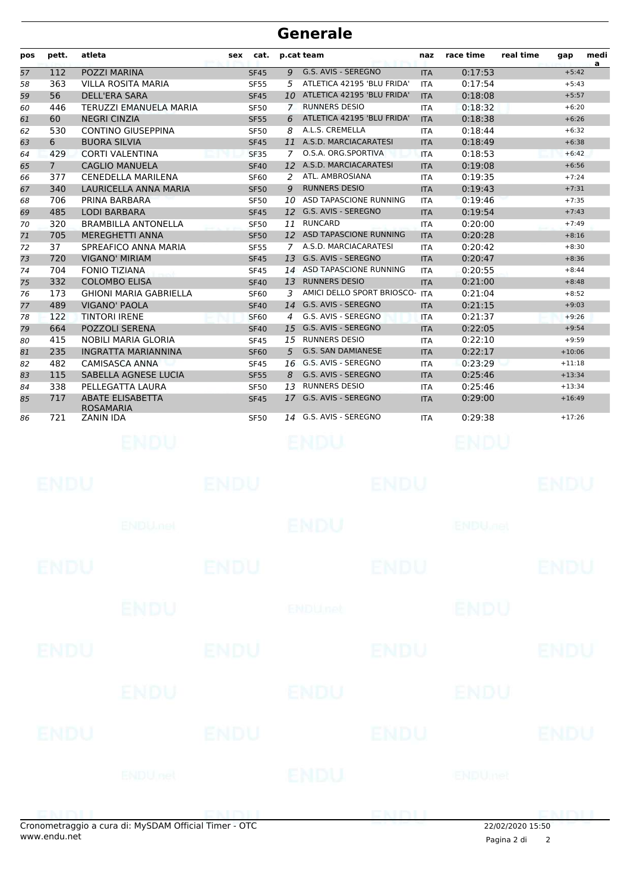| pos | pett.          | atleta                                      | sex         | cat.        |              | p.cat team                     | naz        | race time                 | real time | gap         | medi<br>a |
|-----|----------------|---------------------------------------------|-------------|-------------|--------------|--------------------------------|------------|---------------------------|-----------|-------------|-----------|
| 57  | 112            | POZZI MARINA                                |             | <b>SF45</b> |              | 9 G.S. AVIS - SEREGNO          | <b>ITA</b> | 0:17:53                   |           | $+5:42$     |           |
| 58  | 363            | <b>VILLA ROSITA MARIA</b>                   |             | <b>SF55</b> | 5            | ATLETICA 42195 'BLU FRIDA'     | <b>ITA</b> | 0:17:54                   |           | $+5:43$     |           |
| 59  | 56             | DELL'ERA SARA                               |             | <b>SF45</b> |              | 10 ATLETICA 42195 'BLU FRIDA'  | <b>ITA</b> | 0:18:08                   |           | $+5:57$     |           |
| 60  | 446            | <b>TERUZZI EMANUELA MARIA</b>               |             | <b>SF50</b> | $\mathbf{7}$ | <b>RUNNERS DESIO</b>           | <b>ITA</b> | 0:18:32                   |           | $+6:20$     |           |
| 61  | 60             | <b>NEGRI CINZIA</b>                         |             | <b>SF55</b> | 6            | ATLETICA 42195 'BLU FRIDA'     | <b>ITA</b> | 0:18:38                   |           | $+6:26$     |           |
| 62  | 530            | <b>CONTINO GIUSEPPINA</b>                   |             | <b>SF50</b> | 8            | A.L.S. CREMELLA                | <b>ITA</b> | 0:18:44                   |           | $+6:32$     |           |
| 63  | 6              | <b>BUORA SILVIA</b>                         |             | <b>SF45</b> |              | 11 A.S.D. MARCIACARATESI       | <b>ITA</b> | 0:18:49                   |           | $+6:38$     |           |
| 64  | 429            | <b>CORTI VALENTINA</b>                      |             | <b>SF35</b> | 7            | O.S.A. ORG.SPORTIVA            | <b>ITA</b> | 0:18:53                   |           | $+6:42$     |           |
| 65  | 7 <sup>7</sup> | <b>CAGLIO MANUELA</b>                       |             | <b>SF40</b> |              | 12 A.S.D. MARCIACARATESI       | <b>ITA</b> | 0:19:08                   |           | $+6:56$     |           |
| 66  | 377            | <b>CENEDELLA MARILENA</b>                   |             | <b>SF60</b> | 2            | ATL. AMBROSIANA                | <b>ITA</b> | 0:19:35                   |           | $+7:24$     |           |
| 67  | 340            | LAURICELLA ANNA MARIA                       |             | <b>SF50</b> | 9            | <b>RUNNERS DESIO</b>           | <b>ITA</b> | 0:19:43                   |           | $+7:31$     |           |
| 68  | 706            | PRINA BARBARA                               |             | <b>SF50</b> | 10           | <b>ASD TAPASCIONE RUNNING</b>  | <b>ITA</b> | 0:19:46                   |           | $+7:35$     |           |
| 69  | 485            | <b>LODI BARBARA</b>                         |             | <b>SF45</b> |              | 12 G.S. AVIS - SEREGNO         | <b>ITA</b> | 0:19:54                   |           | $+7:43$     |           |
| 70  | 320            | <b>BRAMBILLA ANTONELLA</b>                  |             | <b>SF50</b> | 11           | <b>RUNCARD</b>                 | <b>ITA</b> | 0:20:00                   |           | $+7:49$     |           |
| 71  | 705            | <b>MEREGHETTI ANNA</b>                      |             | <b>SF50</b> |              | 12 ASD TAPASCIONE RUNNING      | <b>ITA</b> | 0:20:28                   |           | $+8:16$     |           |
| 72  | 37             | SPREAFICO ANNA MARIA                        |             | <b>SF55</b> |              | 7 A.S.D. MARCIACARATESI        | <b>ITA</b> | 0:20:42                   |           | $+8:30$     |           |
| 73  | 720            | <b>VIGANO' MIRIAM</b>                       |             | <b>SF45</b> | 13           | G.S. AVIS - SEREGNO            | <b>ITA</b> | 0:20:47                   |           | $+8:36$     |           |
| 74  | 704            | <b>FONIO TIZIANA</b>                        |             | <b>SF45</b> |              | 14 ASD TAPASCIONE RUNNING      | <b>ITA</b> | 0:20:55                   |           | $+8:44$     |           |
| 75  | 332            | <b>COLOMBO ELISA</b>                        |             | <b>SF40</b> | 13           | <b>RUNNERS DESIO</b>           | <b>ITA</b> | 0:21:00                   |           | $+8:48$     |           |
| 76  | 173            | <b>GHIONI MARIA GABRIELLA</b>               |             | <b>SF60</b> | 3            | AMICI DELLO SPORT BRIOSCO- ITA |            | 0:21:04                   |           | $+8:52$     |           |
| 77  | 489            | <b>VIGANO' PAOLA</b>                        |             | <b>SF40</b> |              | 14 G.S. AVIS - SEREGNO         | <b>ITA</b> | 0:21:15                   |           | $+9:03$     |           |
| 78  | 122            | <b>TINTORI IRENE</b>                        |             | <b>SF60</b> | 4            | G.S. AVIS - SEREGNO            | ITA        | 0:21:37                   |           | $+9:26$     |           |
| 79  | 664            | POZZOLI SERENA                              |             | <b>SF40</b> | 15           | G.S. AVIS - SEREGNO            | <b>ITA</b> | 0:22:05                   |           | $+9:54$     |           |
| 80  | 415            | <b>NOBILI MARIA GLORIA</b>                  |             | <b>SF45</b> | 15           | <b>RUNNERS DESIO</b>           | <b>ITA</b> | 0:22:10                   |           | $+9:59$     |           |
| 81  | 235            | <b>INGRATTA MARIANNINA</b>                  |             | <b>SF60</b> | 5            | <b>G.S. SAN DAMIANESE</b>      | <b>ITA</b> | 0:22:17                   |           | $+10:06$    |           |
| 82  | 482            | CAMISASCA ANNA                              |             | <b>SF45</b> | 16           | G.S. AVIS - SEREGNO            | <b>ITA</b> | 0:23:29                   |           | $+11:18$    |           |
| 83  | 115            | SABELLA AGNESE LUCIA                        |             | <b>SF55</b> |              | 8 G.S. AVIS - SEREGNO          | <b>ITA</b> | 0:25:46                   |           | $+13:34$    |           |
| 84  | 338            | PELLEGATTA LAURA                            |             | <b>SF50</b> | 13           | <b>RUNNERS DESIO</b>           | ITA        | 0:25:46                   |           | $+13:34$    |           |
| 85  | 717            | <b>ABATE ELISABETTA</b><br><b>ROSAMARIA</b> |             | <b>SF45</b> | 17           | G.S. AVIS - SEREGNO            | <b>ITA</b> | 0:29:00                   |           | $+16:49$    |           |
| 86  | 721            | ZANIN IDA                                   |             | <b>SF50</b> | 14           | G.S. AVIS - SEREGNO            | ITA        | 0:29:38                   |           | $+17:26$    |           |
|     |                |                                             |             |             |              |                                |            |                           |           |             |           |
|     |                | ENDU                                        |             |             |              | endu                           |            | BNDU                      |           |             |           |
|     |                |                                             |             |             |              |                                |            |                           |           |             |           |
|     |                |                                             |             |             |              |                                |            |                           |           |             |           |
|     | ENDU           |                                             | ENDU        |             |              | ENDU                           |            |                           |           | ENDL        |           |
|     |                |                                             |             |             |              |                                |            |                           |           |             |           |
|     |                |                                             |             |             |              |                                |            |                           |           |             |           |
|     |                |                                             |             |             |              |                                |            |                           |           |             |           |
|     |                | <b>ENDU<sub>met</sub></b>                   |             |             |              | ENDU                           |            | <b>ENDU<sub>Met</sub></b> |           |             |           |
|     |                |                                             |             |             |              |                                |            |                           |           |             |           |
|     |                |                                             |             |             |              |                                |            |                           |           |             |           |
|     |                |                                             |             |             |              |                                |            |                           |           |             |           |
|     | <b>ENDU</b>    |                                             | <b>ENDU</b> |             |              | <b>ENDU</b>                    |            |                           |           | <b>ENDU</b> |           |
|     |                |                                             |             |             |              |                                |            |                           |           |             |           |
|     |                |                                             |             |             |              |                                |            |                           |           |             |           |
|     |                | <b>ENDU</b>                                 |             |             |              | ENDUnct                        |            | <b>ENDU</b>               |           |             |           |
|     |                |                                             |             |             |              |                                |            |                           |           |             |           |
|     |                |                                             |             |             |              |                                |            |                           |           |             |           |
|     |                |                                             |             |             |              |                                |            |                           |           |             |           |
|     | <b>ENDU</b>    |                                             | <b>ENDU</b> |             |              | <b>ENDU</b>                    |            |                           |           | ENDU        |           |
|     |                |                                             |             |             |              |                                |            |                           |           |             |           |
|     |                |                                             |             |             |              |                                |            |                           |           |             |           |
|     |                | ENDU                                        |             |             |              | ENDU                           |            | ENDU                      |           |             |           |
|     |                |                                             |             |             |              |                                |            |                           |           |             |           |
|     |                |                                             |             |             |              |                                |            |                           |           |             |           |
|     |                |                                             |             |             |              |                                |            |                           |           |             |           |
|     | ENDU           |                                             | <b>ENDU</b> |             |              | ENDU                           |            |                           |           | <b>ENDU</b> |           |
|     |                |                                             |             |             |              |                                |            |                           |           |             |           |
|     |                |                                             |             |             |              |                                |            |                           |           |             |           |
|     |                | <b>ENDUnet</b>                              |             |             |              | ENDU                           |            | ENDUmet                   |           |             |           |
|     |                |                                             |             |             |              |                                |            |                           |           |             |           |
|     |                |                                             |             |             |              |                                |            |                           |           |             |           |
|     |                |                                             |             |             |              |                                |            |                           |           |             |           |
|     | ENDIJ          |                                             | ENDIL       |             |              | ENDLI                          |            |                           |           | <b>ENDU</b> |           |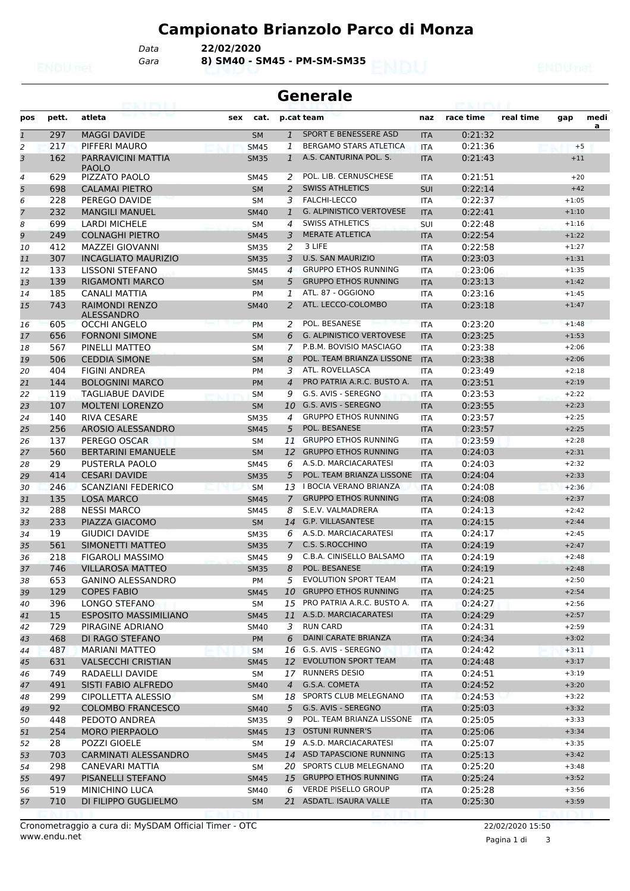*Gara* **8) SM40 - SM45 - PM-SM-SM35** *Data* **22/02/2020**

|              | <b>Generale</b> |                                                            |     |                            |                |                                           |                          |                    |           |                    |           |
|--------------|-----------------|------------------------------------------------------------|-----|----------------------------|----------------|-------------------------------------------|--------------------------|--------------------|-----------|--------------------|-----------|
| pos          | pett.           | atleta                                                     | sex | cat.                       |                | p.cat team                                | naz                      | race time          | real time | gap                | medi<br>a |
| $\mathbf{1}$ | 297             | <b>MAGGI DAVIDE</b>                                        |     | <b>SM</b>                  | $\mathbf{1}$   | SPORT E BENESSERE ASD                     | <b>ITA</b>               | 0:21:32            |           |                    |           |
| 2            | 217             | PIFFERI MAURO                                              |     | <b>SM45</b>                | 1              | <b>BERGAMO STARS ATLETICA</b>             | <b>ITA</b>               | 0:21:36            |           | $+5$               |           |
| 3            | 162             | PARRAVICINI MATTIA<br><b>PAOLO</b>                         |     | <b>SM35</b>                | $\mathbf{1}$   | A.S. CANTURINA POL. S.                    | <b>ITA</b>               | 0:21:43            |           | $+11$              |           |
| 4            | 629             | PIZZATO PAOLO                                              |     | SM45                       | 2              | POL. LIB. CERNUSCHESE                     | <b>ITA</b>               | 0:21:51            |           | $+20$              |           |
| 5            | 698             | <b>CALAMAI PIETRO</b>                                      |     | <b>SM</b>                  | 2              | <b>SWISS ATHLETICS</b>                    | SUI                      | 0:22:14            |           | $+42$              |           |
| 6            | 228             | PEREGO DAVIDE                                              |     | <b>SM</b>                  | 3              | <b>FALCHI-LECCO</b>                       | <b>ITA</b>               | 0:22:37            |           | $+1:05$            |           |
| 7            | 232             | <b>MANGILI MANUEL</b>                                      |     | <b>SM40</b>                | $\mathbf{1}$   | <b>G. ALPINISTICO VERTOVESE</b>           | <b>ITA</b>               | 0:22:41            |           | $+1:10$            |           |
| 8            | 699             | <b>LARDI MICHELE</b>                                       |     | SM                         | 4              | <b>SWISS ATHLETICS</b>                    | SUI                      | 0:22:48            |           | $+1:16$            |           |
| 9            | 249             | <b>COLNAGHI PIETRO</b>                                     |     | <b>SM45</b>                | 3              | <b>MERATE ATLETICA</b>                    | <b>ITA</b>               | 0:22:54            |           | $+1:22$            |           |
| 10           | 412             | <b>MAZZEI GIOVANNI</b>                                     |     | <b>SM35</b>                | 2              | 3 LIFE                                    | <b>ITA</b>               | 0:22:58            |           | $+1:27$            |           |
| 11           | 307             | <b>INCAGLIATO MAURIZIO</b>                                 |     | <b>SM35</b>                | 3              | <b>U.S. SAN MAURIZIO</b>                  | <b>ITA</b>               | 0:23:03            |           | $+1:31$            |           |
| 12           | 133             | LISSONI STEFANO                                            |     | <b>SM45</b>                | $\overline{4}$ | <b>GRUPPO ETHOS RUNNING</b>               | <b>ITA</b>               | 0:23:06            |           | $+1:35$            |           |
| 13           | 139             | <b>RIGAMONTI MARCO</b>                                     |     | <b>SM</b>                  | 5              | <b>GRUPPO ETHOS RUNNING</b>               | <b>ITA</b>               | 0:23:13            |           | $+1:42$            |           |
| 14           | 185             | CANALI MATTIA                                              |     | PM                         | 1              | ATL, 87 - OGGIONO<br>ATL. LECCO-COLOMBO   | <b>ITA</b>               | 0:23:16            |           | $+1:45$            |           |
| 15<br>16     | 743<br>605      | <b>RAIMONDI RENZO</b><br>ALESSANDRO<br><b>OCCHI ANGELO</b> |     | <b>SM40</b><br><b>PM</b>   | 2<br>2         | POL. BESANESE                             | <b>ITA</b><br><b>ITA</b> | 0:23:18<br>0:23:20 |           | $+1:47$<br>$+1:48$ |           |
| 17           | 656             | <b>FORNONI SIMONE</b>                                      |     | <b>SM</b>                  | 6              | <b>G. ALPINISTICO VERTOVESE</b>           | <b>ITA</b>               | 0:23:25            |           | $+1:53$            |           |
| 18           | 567             | PINELLI MATTEO                                             |     | SМ                         | 7              | P.B.M. BOVISIO MASCIAGO                   | <b>ITA</b>               | 0:23:38            |           | $+2:06$            |           |
| 19           | 506             | <b>CEDDIA SIMONE</b>                                       |     | <b>SM</b>                  | 8              | POL. TEAM BRIANZA LISSONE                 | <b>ITA</b>               | 0:23:38            |           | $+2:06$            |           |
| 20           | 404             | <b>FIGINI ANDREA</b>                                       |     | PM                         | 3              | ATL. ROVELLASCA                           | <b>ITA</b>               | 0:23:49            |           | $+2:18$            |           |
| 21           | 144             | <b>BOLOGNINI MARCO</b>                                     |     | <b>PM</b>                  | 4              | PRO PATRIA A.R.C. BUSTO A.                | <b>ITA</b>               | 0:23:51            |           | $+2:19$            |           |
| 22           | 119             | TAGLIABUE DAVIDE                                           |     | <b>SM</b>                  | 9              | G.S. AVIS - SEREGNO                       | <b>ITA</b>               | 0:23:53            |           | $+2:22$            |           |
| 23           | 107             | <b>MOLTENI LORENZO</b>                                     |     | <b>SM</b>                  | 10             | G.S. AVIS - SEREGNO                       | <b>ITA</b>               | 0:23:55            |           | $+2:23$            |           |
| 24           | 140             | RIVA CESARE                                                |     | <b>SM35</b>                | 4              | <b>GRUPPO ETHOS RUNNING</b>               | <b>ITA</b>               | 0:23:57            |           | $+2:25$            |           |
| 25           | 256             | AROSIO ALESSANDRO                                          |     | <b>SM45</b>                | 5              | POL. BESANESE                             | <b>ITA</b>               | 0:23:57            |           | $+2:25$            |           |
| 26           | 137             | PEREGO OSCAR                                               |     | <b>SM</b>                  | 11             | <b>GRUPPO ETHOS RUNNING</b>               | <b>ITA</b>               | 0:23:59            |           | $+2:28$            |           |
| 27           | 560             | <b>BERTARINI EMANUELE</b>                                  |     | <b>SM</b>                  | 12             | <b>GRUPPO ETHOS RUNNING</b>               | <b>ITA</b>               | 0:24:03            |           | $+2:31$            |           |
| 28           | 29              | PUSTERLA PAOLO                                             |     | <b>SM45</b>                | 6              | A.S.D. MARCIACARATESI                     | <b>ITA</b>               | 0:24:03            |           | $+2:32$            |           |
| 29           | 414             | <b>CESARI DAVIDE</b>                                       |     | <b>SM35</b>                | 5              | POL. TEAM BRIANZA LISSONE                 | <b>ITA</b>               | 0:24:04            |           | $+2:33$            |           |
| 30           | 246             | <b>SCANZIANI FEDERICO</b>                                  |     | <b>SM</b>                  |                | 13 I BOCIA VERANO BRIANZA                 | <b>ITA</b>               | 0:24:08            |           | $+2:36$            |           |
| 31           | 135             | <b>LOSA MARCO</b>                                          |     | <b>SM45</b>                | $\mathcal{I}$  | <b>GRUPPO ETHOS RUNNING</b>               | <b>ITA</b>               | 0:24:08            |           | $+2:37$            |           |
| 32           | 288             | <b>NESSI MARCO</b>                                         |     | <b>SM45</b>                | 8              | S.E.V. VALMADRERA                         | <b>ITA</b>               | 0:24:13            |           | $+2:42$            |           |
| 33           | 233             | PIAZZA GIACOMO                                             |     | <b>SM</b>                  | 14             | <b>G.P. VILLASANTESE</b>                  | <b>ITA</b>               | 0:24:15            |           | $+2:44$            |           |
| 34           | 19              | GIUDICI DAVIDE                                             |     | <b>SM35</b>                | 6              | A.S.D. MARCIACARATESI                     | <b>ITA</b>               | 0:24:17            |           | $+2:45$            |           |
| 35           | 561             | SIMONETTI MATTEO                                           |     | <b>SM35</b>                | $\overline{7}$ | C.S. S.ROCCHINO                           | <b>ITA</b>               | 0:24:19            |           | $+2:47$            |           |
| 36           | 218             | <b>FIGAROLI MASSIMO</b>                                    |     | <b>SM45</b>                | 9              | C.B.A. CINISELLO BALSAMO                  | <b>ITA</b>               | 0:24:19            |           | $+2:48$            |           |
| 37           | 746             | <b>VILLAROSA MATTEO</b>                                    |     | <b>SM35</b>                | 8              | POL. BESANESE                             | <b>ITA</b>               | 0:24:19            |           | $+2:48$            |           |
| 38           | 653             | <b>GANINO ALESSANDRO</b>                                   |     | PM                         | 5              | <b>EVOLUTION SPORT TEAM</b>               | ITA                      | 0:24:21            |           | $+2:50$            |           |
| 39           | 129             | <b>COPES FABIO</b>                                         |     | <b>SM45</b>                | 10             | <b>GRUPPO ETHOS RUNNING</b>               | <b>ITA</b>               | 0:24:25            |           | $+2:54$            |           |
| 40           | 396             | LONGO STEFANO                                              |     | SM                         | 15             | PRO PATRIA A.R.C. BUSTO A.                | ITA                      | 0:24:27            |           | $+2:56$            |           |
| 41           | 15              | <b>ESPOSITO MASSIMILIANO</b>                               |     | <b>SM45</b>                |                | 11 A.S.D. MARCIACARATESI                  | <b>ITA</b>               | 0:24:29            |           | $+2:57$            |           |
| 42           | 729             | PIRAGINE ADRIANO                                           |     | SM40                       | 3              | <b>RUN CARD</b>                           | ITA                      | 0:24:31            |           | $+2:59$            |           |
| 43           | 468             | DI RAGO STEFANO                                            |     | <b>PM</b>                  | 6              | DAINI CARATE BRIANZA                      | <b>ITA</b>               | 0:24:34            |           | $+3:02$            |           |
| 44           | 487             | <b>MARIANI MATTEO</b>                                      |     | <b>SM</b>                  |                | 16 G.S. AVIS - SEREGNO                    | ITA                      | 0:24:42            |           | $+3:11$            |           |
| 45           | 631             | <b>VALSECCHI CRISTIAN</b>                                  |     | <b>SM45</b>                | 12             | <b>EVOLUTION SPORT TEAM</b>               | <b>ITA</b>               | 0:24:48            |           | $+3:17$            |           |
| 46           | 749             | RADAELLI DAVIDE                                            |     | SM                         | 17             | RUNNERS DESIO                             | ITA                      | 0:24:51            |           | $+3:19$            |           |
| 47           | 491             | SISTI FABIO ALFREDO                                        |     | <b>SM40</b>                | $\overline{4}$ | G.S.A. COMETA<br>18 SPORTS CLUB MELEGNANO | <b>ITA</b>               | 0:24:52            |           | $+3:20$            |           |
| 48           | 299             | CIPOLLETTA ALESSIO                                         |     | SM                         |                | G.S. AVIS - SEREGNO                       | ITA                      | 0:24:53            |           | $+3:22$<br>$+3:32$ |           |
| 49<br>50     | 92<br>448       | <b>COLOMBO FRANCESCO</b><br>PEDOTO ANDREA                  |     | <b>SM40</b><br><b>SM35</b> | 5<br>9         | POL. TEAM BRIANZA LISSONE                 | <b>ITA</b><br><b>ITA</b> | 0:25:03<br>0:25:05 |           | $+3:33$            |           |
|              | 254             | <b>MORO PIERPAOLO</b>                                      |     |                            | 13             | <b>OSTUNI RUNNER'S</b>                    |                          | 0:25:06            |           | $+3:34$            |           |
| 51<br>52     | 28              | POZZI GIOELE                                               |     | <b>SM45</b><br><b>SM</b>   |                | 19 A.S.D. MARCIACARATESI                  | <b>ITA</b><br>ITA        | 0:25:07            |           | $+3:35$            |           |
| 53           | 703             | CARMINATI ALESSANDRO                                       |     | <b>SM45</b>                |                | 14 ASD TAPASCIONE RUNNING                 | <b>ITA</b>               | 0:25:13            |           | $+3:42$            |           |
| 54           | 298             | CANEVARI MATTIA                                            |     | SM                         |                | 20 SPORTS CLUB MELEGNANO                  | ITA                      | 0:25:20            |           | $+3:48$            |           |
| 55           | 497             | PISANELLI STEFANO                                          |     | <b>SM45</b>                |                | 15 GRUPPO ETHOS RUNNING                   | <b>ITA</b>               | 0:25:24            |           | $+3:52$            |           |
| 56           | 519             | <b>MINICHINO LUCA</b>                                      |     | SM40                       | 6              | <b>VERDE PISELLO GROUP</b>                | ITA                      | 0:25:28            |           | $+3:56$            |           |
| 57           | 710             | DI FILIPPO GUGLIELMO                                       |     | <b>SM</b>                  |                | 21 ASDATL. ISAURA VALLE                   | <b>ITA</b>               | 0:25:30            |           | $+3:59$            |           |
|              |                 |                                                            |     |                            |                |                                           |                          |                    |           |                    |           |

Pagina 1 di 3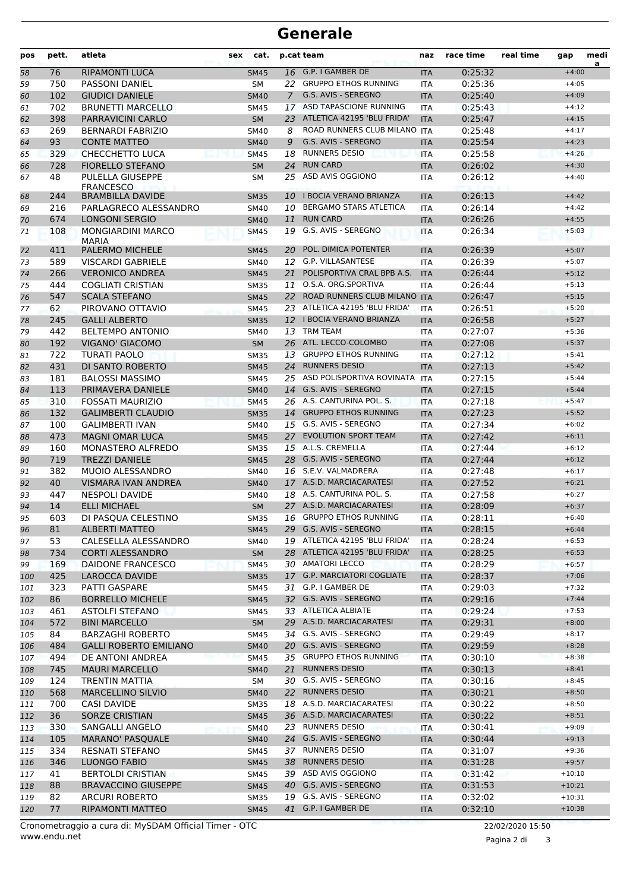| pos | pett. | atleta                                   | sex<br>cat. |                | p.cat team                    | naz                   | race time | real time | gap      | medi<br>a |
|-----|-------|------------------------------------------|-------------|----------------|-------------------------------|-----------------------|-----------|-----------|----------|-----------|
| 58  | 76    | <b>RIPAMONTI LUCA</b>                    | <b>SM45</b> |                | 16 G.P. I GAMBER DE           | <b>ITA</b>            | 0:25:32   |           | $+4:00$  |           |
| 59  | 750   | <b>PASSONI DANIEL</b>                    | <b>SM</b>   | 22             | <b>GRUPPO ETHOS RUNNING</b>   | <b>ITA</b>            | 0:25:36   |           | $+4:05$  |           |
| 60  | 102   | <b>GIUDICI DANIELE</b>                   | <b>SM40</b> | $\overline{7}$ | G.S. AVIS - SEREGNO           | <b>ITA</b>            | 0:25:40   |           | $+4:09$  |           |
| 61  | 702   | <b>BRUNETTI MARCELLO</b>                 | <b>SM45</b> |                | 17 ASD TAPASCIONE RUNNING     | 0:25:43<br><b>ITA</b> |           |           | $+4:12$  |           |
| 62  | 398   | PARRAVICINI CARLO                        | <b>SM</b>   | 23             | ATLETICA 42195 'BLU FRIDA'    | <b>ITA</b>            | 0:25:47   |           | $+4:15$  |           |
| 63  | 269   | <b>BERNARDI FABRIZIO</b>                 | <b>SM40</b> | 8              | ROAD RUNNERS CLUB MILANO ITA  |                       | 0:25:48   |           | $+4:17$  |           |
| 64  | 93    | <b>CONTE MATTEO</b>                      | <b>SM40</b> | 9              | G.S. AVIS - SEREGNO           | <b>ITA</b>            | 0:25:54   |           | $+4:23$  |           |
| 65  | 329   | <b>CHECCHETTO LUCA</b>                   | <b>SM45</b> | 18             | <b>RUNNERS DESIO</b>          | <b>ITA</b>            | 0:25:58   |           | $+4:26$  |           |
| 66  | 728   | <b>FIORELLO STEFANO</b>                  | <b>SM</b>   |                | 24 RUN CARD                   | <b>ITA</b>            | 0:26:02   |           | $+4:30$  |           |
| 67  | 48    | PULELLA GIUSEPPE<br><b>FRANCESCO</b>     | <b>SM</b>   | 25             | ASD AVIS OGGIONO              | <b>ITA</b>            | 0:26:12   |           | $+4:40$  |           |
| 68  | 244   | <b>BRAMBILLA DAVIDE</b>                  | <b>SM35</b> | 10             | <b>I BOCIA VERANO BRIANZA</b> | <b>ITA</b>            | 0:26:13   |           | $+4:42$  |           |
| 69  | 216   | PARLAGRECO ALESSANDRO                    | <b>SM40</b> | 10             | <b>BERGAMO STARS ATLETICA</b> | <b>ITA</b>            | 0:26:14   |           | $+4:42$  |           |
| 70  | 674   | <b>LONGONI SERGIO</b>                    | <b>SM40</b> | 11             | <b>RUN CARD</b>               | <b>ITA</b>            | 0:26:26   |           | $+4:55$  |           |
| 71  | 108   | <b>MONGIARDINI MARCO</b><br><b>MARIA</b> | <b>SM45</b> | 19             | G.S. AVIS - SEREGNO           | ITA                   | 0:26:34   |           | $+5:03$  |           |
| 72  | 411   | <b>PALERMO MICHELE</b>                   | <b>SM45</b> | 20             | POL. DIMICA POTENTER          | <b>ITA</b>            | 0:26:39   |           | $+5:07$  |           |
| 73  | 589   | <b>VISCARDI GABRIELE</b>                 | <b>SM40</b> | 12             | G.P. VILLASANTESE             | <b>ITA</b>            | 0:26:39   |           | $+5:07$  |           |
| 74  | 266   | <b>VERONICO ANDREA</b>                   | <b>SM45</b> | 21             | POLISPORTIVA CRAL BPB A.S.    | <b>ITA</b>            | 0:26:44   |           | $+5:12$  |           |
| 75  | 444   | <b>COGLIATI CRISTIAN</b>                 | <b>SM35</b> |                | 11 O.S.A. ORG.SPORTIVA        | <b>ITA</b>            | 0:26:44   |           | $+5:13$  |           |
| 76  | 547   | <b>SCALA STEFANO</b>                     | <b>SM45</b> | 22             | ROAD RUNNERS CLUB MILANO ITA  |                       | 0:26:47   |           | $+5:15$  |           |
| 77  | 62    | PIROVANO OTTAVIO                         | <b>SM45</b> |                | 23 ATLETICA 42195 'BLU FRIDA' | <b>ITA</b>            | 0:26:51   |           | $+5:20$  |           |
| 78  | 245   | <b>GALLI ALBERTO</b>                     | <b>SM35</b> |                | 12 I BOCIA VERANO BRIANZA     | <b>ITA</b>            | 0:26:58   |           | $+5:27$  |           |
| 79  | 442   | <b>BELTEMPO ANTONIO</b>                  | <b>SM40</b> |                | 13 TRM TEAM                   | <b>ITA</b>            | 0:27:07   |           | $+5:36$  |           |
| 80  | 192   | <b>VIGANO' GIACOMO</b>                   | <b>SM</b>   |                | 26 ATL. LECCO-COLOMBO         | <b>ITA</b>            | 0:27:08   |           | $+5:37$  |           |
| 81  | 722   | <b>TURATI PAOLO</b>                      | <b>SM35</b> |                | 13 GRUPPO ETHOS RUNNING       | <b>ITA</b>            | 0:27:12   |           | $+5:41$  |           |
| 82  | 431   | DI SANTO ROBERTO                         | <b>SM45</b> | 24             | <b>RUNNERS DESIO</b>          | <b>ITA</b>            | 0:27:13   |           | $+5:42$  |           |
| 83  | 181   | <b>BALOSSI MASSIMO</b>                   | <b>SM45</b> | 25             | ASD POLISPORTIVA ROVINATA     | <b>ITA</b>            | 0:27:15   |           | $+5:44$  |           |
| 84  | 113   | PRIMAVERA DANIELE                        | <b>SM40</b> |                | 14 G.S. AVIS - SEREGNO        | <b>ITA</b>            | 0:27:15   |           | $+5:44$  |           |
| 85  | 310   | <b>FOSSATI MAURIZIO</b>                  | <b>SM45</b> |                | 26 A.S. CANTURINA POL. S.     | <b>ITA</b>            | 0:27:18   |           | $+5:47$  |           |
| 86  | 132   | <b>GALIMBERTI CLAUDIO</b>                | <b>SM35</b> |                | 14 GRUPPO ETHOS RUNNING       | <b>ITA</b>            | 0:27:23   |           | $+5:52$  |           |
| 87  | 100   | <b>GALIMBERTI IVAN</b>                   | <b>SM40</b> |                | 15 G.S. AVIS - SEREGNO        | <b>ITA</b>            | 0:27:34   |           | $+6:02$  |           |
| 88  | 473   | <b>MAGNI OMAR LUCA</b>                   | <b>SM45</b> | 27             | <b>EVOLUTION SPORT TEAM</b>   | <b>ITA</b>            | 0:27:42   |           | $+6:11$  |           |
| 89  | 160   | MONASTERO ALFREDO                        | <b>SM35</b> |                | 15 A.L.S. CREMELLA            | <b>ITA</b>            | 0:27:44   |           | $+6:12$  |           |
| 90  | 719   | <b>TREZZI DANIELE</b>                    | <b>SM45</b> |                | 28 G.S. AVIS - SEREGNO        | <b>ITA</b>            | 0:27:44   |           | $+6:12$  |           |
| 91  | 382   | <b>MUOIO ALESSANDRO</b>                  | <b>SM40</b> |                | 16 S.E.V. VALMADRERA          | ITA                   | 0:27:48   |           | $+6:17$  |           |
| 92  | 40    | <b>VISMARA IVAN ANDREA</b>               | <b>SM40</b> |                | 17 A.S.D. MARCIACARATESI      | <b>ITA</b>            | 0:27:52   |           | $+6:21$  |           |
| 93  | 447   | <b>NESPOLI DAVIDE</b>                    | <b>SM40</b> |                | 18 A.S. CANTURINA POL. S.     | <b>ITA</b>            | 0:27:58   |           | $+6:27$  |           |
| 94  | 14    | <b>ELLI MICHAEL</b>                      | <b>SM</b>   |                | 27 A.S.D. MARCIACARATESI      | <b>ITA</b>            | 0:28:09   |           | $+6:37$  |           |
| 95  | 603   | DI PASQUA CELESTINO                      | <b>SM35</b> |                | 16 GRUPPO ETHOS RUNNING       | <b>ITA</b>            | 0:28:11   |           | $+6:40$  |           |
| 96  | 81    | <b>ALBERTI MATTEO</b>                    | <b>SM45</b> |                | 29 G.S. AVIS - SEREGNO        | <b>ITA</b>            | 0:28:15   |           | $+6:44$  |           |
| 97  | 53    | CALESELLA ALESSANDRO                     | SM40        |                | 19 ATLETICA 42195 'BLU FRIDA' | ITA                   | 0:28:24   |           | $+6:53$  |           |
| 98  | 734   | <b>CORTI ALESSANDRO</b>                  | SM          |                | 28 ATLETICA 42195 'BLU FRIDA' | <b>ITA</b>            | 0:28:25   |           | $+6:53$  |           |
| 99  | 169   | DAIDONE FRANCESCO                        | <b>SM45</b> |                | 30 AMATORI LECCO              | ITA                   | 0:28:29   |           | $+6:57$  |           |
| 100 | 425   | LAROCCA DAVIDE                           | <b>SM35</b> |                | 17 G.P. MARCIATORI COGLIATE   | <b>ITA</b>            | 0:28:37   |           | $+7:06$  |           |
| 101 | 323   | PATTI GASPARE                            | SM45        |                | 31 G.P. I GAMBER DE           | ITA                   | 0:29:03   |           | $+7:32$  |           |
| 102 | 86    | <b>BORRELLO MICHELE</b>                  | <b>SM45</b> |                | 32 G.S. AVIS - SEREGNO        | <b>ITA</b>            | 0:29:16   |           | $+7:44$  |           |
| 103 | 461   | <b>ASTOLFI STEFANO</b>                   | SM45        |                | 33 ATLETICA ALBIATE           | ITA                   | 0:29:24   |           | $+7:53$  |           |
| 104 | 572   | <b>BINI MARCELLO</b>                     | SM          |                | 29 A.S.D. MARCIACARATESI      | <b>ITA</b>            | 0:29:31   |           | $+8:00$  |           |
| 105 | 84    | <b>BARZAGHI ROBERTO</b>                  | SM45        |                | 34 G.S. AVIS - SEREGNO        | ITA                   | 0:29:49   |           | $+8:17$  |           |
| 106 | 484   | <b>GALLI ROBERTO EMILIANO</b>            | <b>SM40</b> |                | 20 G.S. AVIS - SEREGNO        | <b>ITA</b>            | 0:29:59   |           | $+8:28$  |           |
| 107 | 494   | DE ANTONI ANDREA                         | <b>SM45</b> |                | 35 GRUPPO ETHOS RUNNING       | ITA                   | 0:30:10   |           | $+8:38$  |           |
| 108 | 745   | <b>MAURI MARCELLO</b>                    | <b>SM40</b> | 21             | <b>RUNNERS DESIO</b>          | <b>ITA</b>            | 0:30:13   |           | $+8:41$  |           |
| 109 | 124   | TRENTIN MATTIA                           | SM          |                | 30 G.S. AVIS - SEREGNO        | ITA                   | 0:30:16   |           | $+8:45$  |           |
| 110 | 568   | <b>MARCELLINO SILVIO</b>                 | <b>SM40</b> |                | 22 RUNNERS DESIO              | <b>ITA</b>            | 0:30:21   |           | $+8:50$  |           |
| 111 | 700   | CASI DAVIDE                              | <b>SM35</b> |                | 18 A.S.D. MARCIACARATESI      | ITA                   | 0:30:22   |           | $+8:50$  |           |
| 112 | 36    | <b>SORZE CRISTIAN</b>                    | <b>SM45</b> |                | 36 A.S.D. MARCIACARATESI      | <b>ITA</b>            | 0:30:22   |           | $+8:51$  |           |
| 113 | 330   | SANGALLI ANGELO                          | <b>SM40</b> |                | 23 RUNNERS DESIO              | ITA                   | 0:30:41   |           | $+9:09$  |           |
| 114 | 105   | <b>MARANO' PASQUALE</b>                  | <b>SM40</b> |                | 24 G.S. AVIS - SEREGNO        | <b>ITA</b>            | 0:30:44   |           | $+9:13$  |           |
| 115 | 334   | RESNATI STEFANO                          | SM45        |                | 37 RUNNERS DESIO              | ITA                   | 0:31:07   |           | $+9:36$  |           |
| 116 | 346   | LUONGO FABIO                             | <b>SM45</b> |                | 38 RUNNERS DESIO              | <b>ITA</b>            | 0:31:28   |           | $+9:57$  |           |
| 117 | 41    | <b>BERTOLDI CRISTIAN</b>                 | SM45        |                | 39 ASD AVIS OGGIONO           | ITA                   | 0:31:42   |           | $+10:10$ |           |
| 118 | 88    | <b>BRAVACCINO GIUSEPPE</b>               | <b>SM45</b> |                | 40 G.S. AVIS - SEREGNO        | <b>ITA</b>            | 0:31:53   |           | $+10:21$ |           |
| 119 | 82    | <b>ARCURI ROBERTO</b>                    | <b>SM35</b> |                | 19 G.S. AVIS - SEREGNO        | ITA                   | 0:32:02   |           | $+10:31$ |           |
| 120 | 77    | RIPAMONTI MATTEO                         | <b>SM45</b> |                | 41 G.P. I GAMBER DE           | <b>ITA</b>            | 0:32:10   |           | $+10:38$ |           |

Pagina 2 di 3